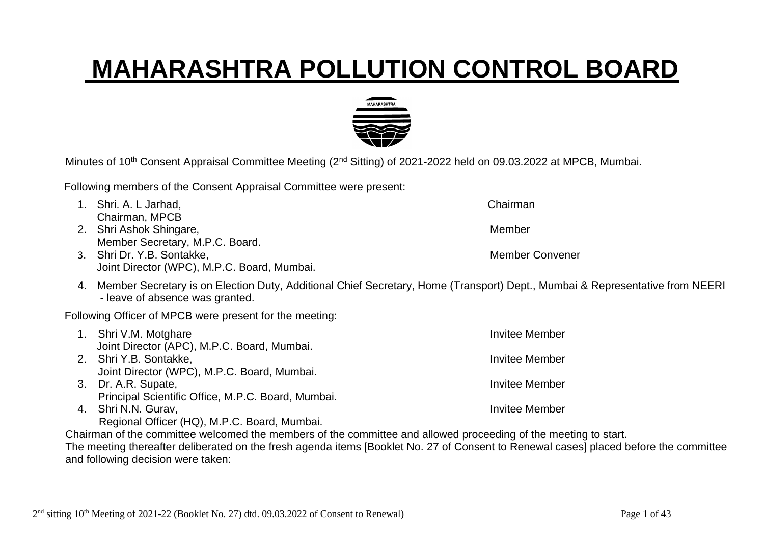## **MAHARASHTRA POLLUTION CONTROL BOARD**



Minutes of 10<sup>th</sup> Consent Appraisal Committee Meeting (2<sup>nd</sup> Sitting) of 2021-2022 held on 09.03.2022 at MPCB, Mumbai.

Following members of the Consent Appraisal Committee were present:

1. Shri. A. L Jarhad, Chairman Chairman, MPCB 2. Shri Ashok Shingare, Management and Shingare, Member Member Secretary, M.P.C. Board. 3. Shri Dr. Y.B. Sontakke, Member Convener Joint Director (WPC), M.P.C. Board, Mumbai. 4. Member Secretary is on Election Duty, Additional Chief Secretary, Home (Transport) Dept., Mumbai & Representative from NEERI - leave of absence was granted.

Following Officer of MPCB were present for the meeting:

| 1. Shri V.M. Motghare                              | Invitee Member |
|----------------------------------------------------|----------------|
| Joint Director (APC), M.P.C. Board, Mumbai.        |                |
| 2. Shri Y.B. Sontakke,                             | Invitee Member |
| Joint Director (WPC), M.P.C. Board, Mumbai.        |                |
| 3. Dr. A.R. Supate,                                | Invitee Member |
| Principal Scientific Office, M.P.C. Board, Mumbai. |                |
| 4. Shri N.N. Gurav,                                | Invitee Member |
| Regional Officer (HQ), M.P.C. Board, Mumbai.       |                |

Chairman of the committee welcomed the members of the committee and allowed proceeding of the meeting to start. The meeting thereafter deliberated on the fresh agenda items [Booklet No. 27 of Consent to Renewal cases] placed before the committee and following decision were taken: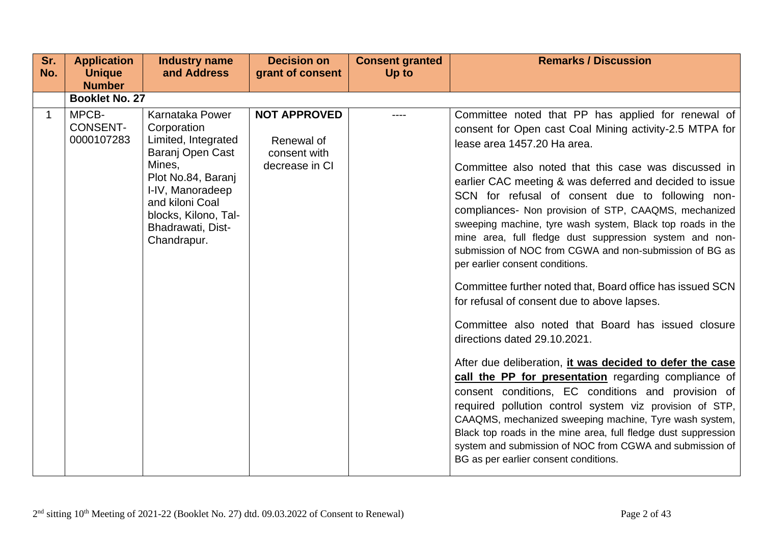| Sr.          | <b>Application</b>                     | <b>Industry name</b>                                                                                                                                                                                         | <b>Decision on</b>                                                  | <b>Consent granted</b> | <b>Remarks / Discussion</b>                                                                                                                                                                                                                                                                                                                                                                                                                                                                                                                                                                                                                                                                                                                                                                                                                                                                                                                                                                                                                                                                                                                                                                                                                                                 |
|--------------|----------------------------------------|--------------------------------------------------------------------------------------------------------------------------------------------------------------------------------------------------------------|---------------------------------------------------------------------|------------------------|-----------------------------------------------------------------------------------------------------------------------------------------------------------------------------------------------------------------------------------------------------------------------------------------------------------------------------------------------------------------------------------------------------------------------------------------------------------------------------------------------------------------------------------------------------------------------------------------------------------------------------------------------------------------------------------------------------------------------------------------------------------------------------------------------------------------------------------------------------------------------------------------------------------------------------------------------------------------------------------------------------------------------------------------------------------------------------------------------------------------------------------------------------------------------------------------------------------------------------------------------------------------------------|
| No.          | <b>Unique</b><br><b>Number</b>         | and Address                                                                                                                                                                                                  | grant of consent                                                    | Up to                  |                                                                                                                                                                                                                                                                                                                                                                                                                                                                                                                                                                                                                                                                                                                                                                                                                                                                                                                                                                                                                                                                                                                                                                                                                                                                             |
|              | <b>Booklet No. 27</b>                  |                                                                                                                                                                                                              |                                                                     |                        |                                                                                                                                                                                                                                                                                                                                                                                                                                                                                                                                                                                                                                                                                                                                                                                                                                                                                                                                                                                                                                                                                                                                                                                                                                                                             |
| $\mathbf{1}$ | MPCB-<br><b>CONSENT-</b><br>0000107283 | Karnataka Power<br>Corporation<br>Limited, Integrated<br>Baranj Open Cast<br>Mines,<br>Plot No.84, Baranj<br>I-IV, Manoradeep<br>and kiloni Coal<br>blocks, Kilono, Tal-<br>Bhadrawati, Dist-<br>Chandrapur. | <b>NOT APPROVED</b><br>Renewal of<br>consent with<br>decrease in CI |                        | Committee noted that PP has applied for renewal of<br>consent for Open cast Coal Mining activity-2.5 MTPA for<br>lease area 1457.20 Ha area.<br>Committee also noted that this case was discussed in<br>earlier CAC meeting & was deferred and decided to issue<br>SCN for refusal of consent due to following non-<br>compliances- Non provision of STP, CAAQMS, mechanized<br>sweeping machine, tyre wash system, Black top roads in the<br>mine area, full fledge dust suppression system and non-<br>submission of NOC from CGWA and non-submission of BG as<br>per earlier consent conditions.<br>Committee further noted that, Board office has issued SCN<br>for refusal of consent due to above lapses.<br>Committee also noted that Board has issued closure<br>directions dated 29.10.2021.<br>After due deliberation, it was decided to defer the case<br>call the PP for presentation regarding compliance of<br>consent conditions, EC conditions and provision of<br>required pollution control system viz provision of STP,<br>CAAQMS, mechanized sweeping machine, Tyre wash system,<br>Black top roads in the mine area, full fledge dust suppression<br>system and submission of NOC from CGWA and submission of<br>BG as per earlier consent conditions. |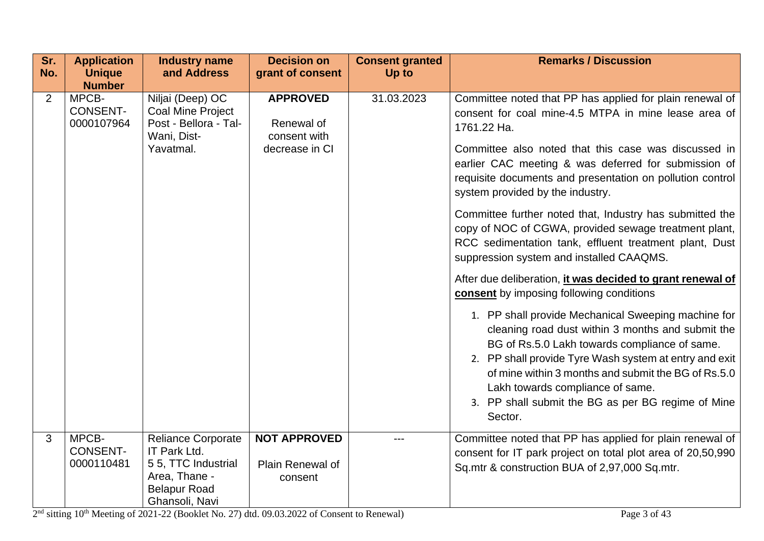| Sr.<br>No.     | <b>Application</b><br><b>Unique</b>    | <b>Industry name</b><br>and Address                                                                                        | <b>Decision on</b><br>grant of consent                          | <b>Consent granted</b><br>Up to | <b>Remarks / Discussion</b>                                                                                                                                                                                                                                                                                                                                                                                                                                                                                                                                                                                                                                                                                                                                                                                                                                                                                                                                                                             |
|----------------|----------------------------------------|----------------------------------------------------------------------------------------------------------------------------|-----------------------------------------------------------------|---------------------------------|---------------------------------------------------------------------------------------------------------------------------------------------------------------------------------------------------------------------------------------------------------------------------------------------------------------------------------------------------------------------------------------------------------------------------------------------------------------------------------------------------------------------------------------------------------------------------------------------------------------------------------------------------------------------------------------------------------------------------------------------------------------------------------------------------------------------------------------------------------------------------------------------------------------------------------------------------------------------------------------------------------|
|                | <b>Number</b>                          |                                                                                                                            |                                                                 |                                 |                                                                                                                                                                                                                                                                                                                                                                                                                                                                                                                                                                                                                                                                                                                                                                                                                                                                                                                                                                                                         |
| $\overline{2}$ | MPCB-<br><b>CONSENT-</b><br>0000107964 | Niljai (Deep) OC<br><b>Coal Mine Project</b><br>Post - Bellora - Tal-<br>Wani, Dist-<br>Yavatmal.                          | <b>APPROVED</b><br>Renewal of<br>consent with<br>decrease in CI | 31.03.2023                      | Committee noted that PP has applied for plain renewal of<br>consent for coal mine-4.5 MTPA in mine lease area of<br>1761.22 Ha.<br>Committee also noted that this case was discussed in<br>earlier CAC meeting & was deferred for submission of<br>requisite documents and presentation on pollution control<br>system provided by the industry.<br>Committee further noted that, Industry has submitted the<br>copy of NOC of CGWA, provided sewage treatment plant,<br>RCC sedimentation tank, effluent treatment plant, Dust<br>suppression system and installed CAAQMS.<br>After due deliberation, it was decided to grant renewal of<br>consent by imposing following conditions<br>1. PP shall provide Mechanical Sweeping machine for<br>cleaning road dust within 3 months and submit the<br>BG of Rs.5.0 Lakh towards compliance of same.<br>2. PP shall provide Tyre Wash system at entry and exit<br>of mine within 3 months and submit the BG of Rs.5.0<br>Lakh towards compliance of same. |
|                |                                        |                                                                                                                            |                                                                 |                                 | 3. PP shall submit the BG as per BG regime of Mine<br>Sector.                                                                                                                                                                                                                                                                                                                                                                                                                                                                                                                                                                                                                                                                                                                                                                                                                                                                                                                                           |
| 3              | MPCB-<br><b>CONSENT-</b><br>0000110481 | <b>Reliance Corporate</b><br>IT Park Ltd.<br>5 5, TTC Industrial<br>Area, Thane -<br><b>Belapur Road</b><br>Ghansoli, Navi | <b>NOT APPROVED</b><br>Plain Renewal of<br>consent              |                                 | Committee noted that PP has applied for plain renewal of<br>consent for IT park project on total plot area of 20,50,990<br>Sq.mtr & construction BUA of 2,97,000 Sq.mtr.                                                                                                                                                                                                                                                                                                                                                                                                                                                                                                                                                                                                                                                                                                                                                                                                                                |

 $2<sup>nd</sup>$  sitting  $10<sup>th</sup>$  Meeting of 2021-22 (Booklet No. 27) dtd. 09.03.2022 of Consent to Renewal) Page 3 of 43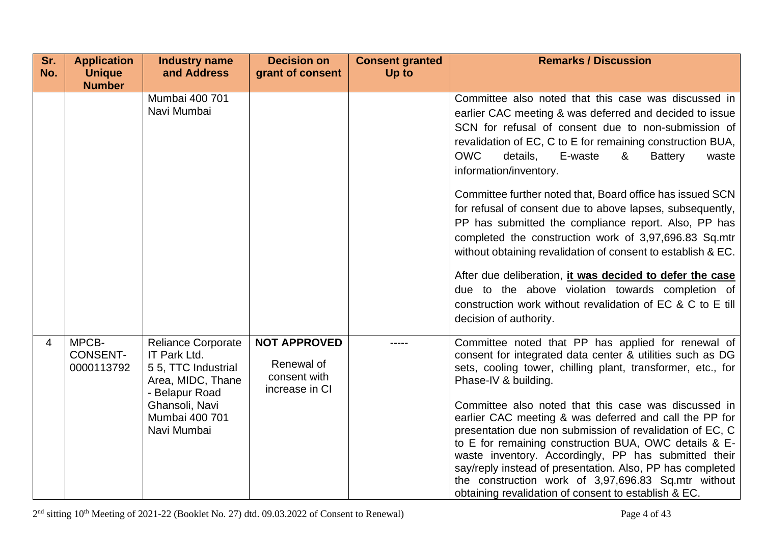| Sr.<br>No. | <b>Application</b><br><b>Unique</b>    | <b>Industry name</b><br>and Address                                                                    | <b>Decision on</b><br>grant of consent                              | <b>Consent granted</b><br>Up to | <b>Remarks / Discussion</b>                                                                                                                                                                                                                                                                                                                                                                                                                                             |
|------------|----------------------------------------|--------------------------------------------------------------------------------------------------------|---------------------------------------------------------------------|---------------------------------|-------------------------------------------------------------------------------------------------------------------------------------------------------------------------------------------------------------------------------------------------------------------------------------------------------------------------------------------------------------------------------------------------------------------------------------------------------------------------|
|            | <b>Number</b>                          | Mumbai 400 701<br>Navi Mumbai                                                                          |                                                                     |                                 | Committee also noted that this case was discussed in<br>earlier CAC meeting & was deferred and decided to issue<br>SCN for refusal of consent due to non-submission of<br>revalidation of EC, C to E for remaining construction BUA,<br><b>OWC</b><br>details,<br>E-waste<br>&<br><b>Battery</b><br>waste<br>information/inventory.<br>Committee further noted that, Board office has issued SCN<br>for refusal of consent due to above lapses, subsequently,           |
|            |                                        |                                                                                                        |                                                                     |                                 | PP has submitted the compliance report. Also, PP has<br>completed the construction work of 3,97,696.83 Sq.mtr<br>without obtaining revalidation of consent to establish & EC.                                                                                                                                                                                                                                                                                           |
|            |                                        |                                                                                                        |                                                                     |                                 | After due deliberation, it was decided to defer the case<br>due to the above violation towards completion of<br>construction work without revalidation of EC & C to E till<br>decision of authority.                                                                                                                                                                                                                                                                    |
| 4          | MPCB-<br><b>CONSENT-</b><br>0000113792 | <b>Reliance Corporate</b><br>IT Park Ltd.<br>55, TTC Industrial<br>Area, MIDC, Thane<br>- Belapur Road | <b>NOT APPROVED</b><br>Renewal of<br>consent with<br>increase in CI |                                 | Committee noted that PP has applied for renewal of<br>consent for integrated data center & utilities such as DG<br>sets, cooling tower, chilling plant, transformer, etc., for<br>Phase-IV & building.                                                                                                                                                                                                                                                                  |
|            |                                        | Ghansoli, Navi<br>Mumbai 400 701<br>Navi Mumbai                                                        |                                                                     |                                 | Committee also noted that this case was discussed in<br>earlier CAC meeting & was deferred and call the PP for<br>presentation due non submission of revalidation of EC, C<br>to E for remaining construction BUA, OWC details & E-<br>waste inventory. Accordingly, PP has submitted their<br>say/reply instead of presentation. Also, PP has completed<br>the construction work of 3,97,696.83 Sq.mtr without<br>obtaining revalidation of consent to establish & EC. |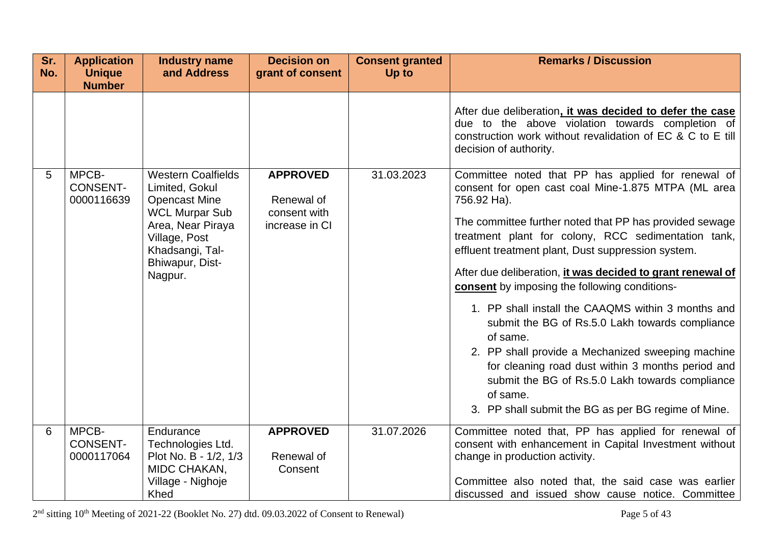| Sr.<br>No. | <b>Application</b><br><b>Unique</b><br><b>Number</b> | <b>Industry name</b><br>and Address                                                                                                                                                 | <b>Decision on</b><br>grant of consent                          | <b>Consent granted</b><br>Up to | <b>Remarks / Discussion</b>                                                                                                                                                                                                                                                                                                                                                                                                                                                                                                                                                                                                                                                                                                                                                 |
|------------|------------------------------------------------------|-------------------------------------------------------------------------------------------------------------------------------------------------------------------------------------|-----------------------------------------------------------------|---------------------------------|-----------------------------------------------------------------------------------------------------------------------------------------------------------------------------------------------------------------------------------------------------------------------------------------------------------------------------------------------------------------------------------------------------------------------------------------------------------------------------------------------------------------------------------------------------------------------------------------------------------------------------------------------------------------------------------------------------------------------------------------------------------------------------|
|            |                                                      |                                                                                                                                                                                     |                                                                 |                                 | After due deliberation, it was decided to defer the case<br>due to the above violation towards completion of<br>construction work without revalidation of EC & C to E till<br>decision of authority.                                                                                                                                                                                                                                                                                                                                                                                                                                                                                                                                                                        |
| 5          | MPCB-<br><b>CONSENT-</b><br>0000116639               | <b>Western Coalfields</b><br>Limited, Gokul<br><b>Opencast Mine</b><br><b>WCL Murpar Sub</b><br>Area, Near Piraya<br>Village, Post<br>Khadsangi, Tal-<br>Bhiwapur, Dist-<br>Nagpur. | <b>APPROVED</b><br>Renewal of<br>consent with<br>increase in CI | 31.03.2023                      | Committee noted that PP has applied for renewal of<br>consent for open cast coal Mine-1.875 MTPA (ML area<br>756.92 Ha).<br>The committee further noted that PP has provided sewage<br>treatment plant for colony, RCC sedimentation tank,<br>effluent treatment plant, Dust suppression system.<br>After due deliberation, it was decided to grant renewal of<br><b>consent</b> by imposing the following conditions-<br>1. PP shall install the CAAQMS within 3 months and<br>submit the BG of Rs.5.0 Lakh towards compliance<br>of same.<br>2. PP shall provide a Mechanized sweeping machine<br>for cleaning road dust within 3 months period and<br>submit the BG of Rs.5.0 Lakh towards compliance<br>of same.<br>3. PP shall submit the BG as per BG regime of Mine. |
| 6          | MPCB-<br><b>CONSENT-</b><br>0000117064               | Endurance<br>Technologies Ltd.<br>Plot No. B - 1/2, 1/3<br>MIDC CHAKAN,<br>Village - Nighoje<br>Khed                                                                                | <b>APPROVED</b><br>Renewal of<br>Consent                        | 31.07.2026                      | Committee noted that, PP has applied for renewal of<br>consent with enhancement in Capital Investment without<br>change in production activity.<br>Committee also noted that, the said case was earlier<br>discussed and issued show cause notice. Committee                                                                                                                                                                                                                                                                                                                                                                                                                                                                                                                |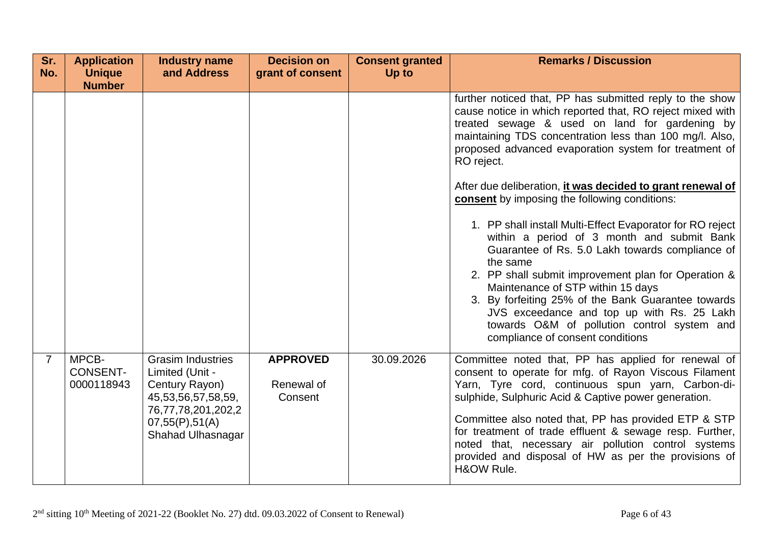| Sr.<br>No.     | <b>Application</b><br><b>Unique</b><br><b>Number</b> | <b>Industry name</b><br>and Address                                                 | <b>Decision on</b><br>grant of consent   | <b>Consent granted</b><br><b>Up to</b> | <b>Remarks / Discussion</b>                                                                                                                                                                                                                                                                                                                                                                                                                               |
|----------------|------------------------------------------------------|-------------------------------------------------------------------------------------|------------------------------------------|----------------------------------------|-----------------------------------------------------------------------------------------------------------------------------------------------------------------------------------------------------------------------------------------------------------------------------------------------------------------------------------------------------------------------------------------------------------------------------------------------------------|
|                |                                                      |                                                                                     |                                          |                                        | further noticed that, PP has submitted reply to the show<br>cause notice in which reported that, RO reject mixed with<br>treated sewage & used on land for gardening by<br>maintaining TDS concentration less than 100 mg/l. Also,<br>proposed advanced evaporation system for treatment of<br>RO reject.                                                                                                                                                 |
|                |                                                      |                                                                                     |                                          |                                        | After due deliberation, it was decided to grant renewal of<br>consent by imposing the following conditions:                                                                                                                                                                                                                                                                                                                                               |
|                |                                                      |                                                                                     |                                          |                                        | 1. PP shall install Multi-Effect Evaporator for RO reject<br>within a period of 3 month and submit Bank<br>Guarantee of Rs. 5.0 Lakh towards compliance of<br>the same<br>2. PP shall submit improvement plan for Operation &<br>Maintenance of STP within 15 days<br>3. By forfeiting 25% of the Bank Guarantee towards<br>JVS exceedance and top up with Rs. 25 Lakh<br>towards O&M of pollution control system and<br>compliance of consent conditions |
| $\overline{7}$ | MPCB-<br><b>CONSENT-</b><br>0000118943               | <b>Grasim Industries</b><br>Limited (Unit -<br>Century Rayon)<br>45,53,56,57,58,59, | <b>APPROVED</b><br>Renewal of<br>Consent | 30.09.2026                             | Committee noted that, PP has applied for renewal of<br>consent to operate for mfg. of Rayon Viscous Filament<br>Yarn, Tyre cord, continuous spun yarn, Carbon-di-<br>sulphide, Sulphuric Acid & Captive power generation.                                                                                                                                                                                                                                 |
|                |                                                      | 76,77,78,201,202,2<br>07,55(P),51(A)<br>Shahad Ulhasnagar                           |                                          |                                        | Committee also noted that, PP has provided ETP & STP<br>for treatment of trade effluent & sewage resp. Further,<br>noted that, necessary air pollution control systems<br>provided and disposal of HW as per the provisions of<br>H&OW Rule.                                                                                                                                                                                                              |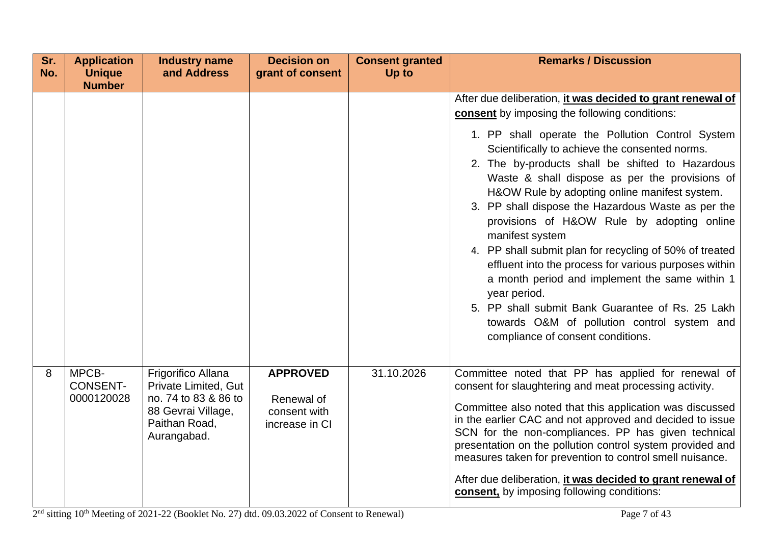| Sr.<br>No. | <b>Application</b><br><b>Unique</b>    | <b>Industry name</b><br>and Address                                                                                      | <b>Decision on</b><br>grant of consent                          | <b>Consent granted</b><br>Up to | <b>Remarks / Discussion</b>                                                                                                                                                                                                                                                                                                                                                                                                                                                                                                                                                                                                                                                                                                                                                                                                   |
|------------|----------------------------------------|--------------------------------------------------------------------------------------------------------------------------|-----------------------------------------------------------------|---------------------------------|-------------------------------------------------------------------------------------------------------------------------------------------------------------------------------------------------------------------------------------------------------------------------------------------------------------------------------------------------------------------------------------------------------------------------------------------------------------------------------------------------------------------------------------------------------------------------------------------------------------------------------------------------------------------------------------------------------------------------------------------------------------------------------------------------------------------------------|
|            | <b>Number</b>                          |                                                                                                                          |                                                                 |                                 | After due deliberation, it was decided to grant renewal of<br>consent by imposing the following conditions:<br>1. PP shall operate the Pollution Control System<br>Scientifically to achieve the consented norms.<br>2. The by-products shall be shifted to Hazardous<br>Waste & shall dispose as per the provisions of<br>H&OW Rule by adopting online manifest system.<br>3. PP shall dispose the Hazardous Waste as per the<br>provisions of H&OW Rule by adopting online<br>manifest system<br>4. PP shall submit plan for recycling of 50% of treated<br>effluent into the process for various purposes within<br>a month period and implement the same within 1<br>year period.<br>5. PP shall submit Bank Guarantee of Rs. 25 Lakh<br>towards O&M of pollution control system and<br>compliance of consent conditions. |
| 8          | MPCB-<br><b>CONSENT-</b><br>0000120028 | Frigorifico Allana<br>Private Limited, Gut<br>no. 74 to 83 & 86 to<br>88 Gevrai Village,<br>Paithan Road,<br>Aurangabad. | <b>APPROVED</b><br>Renewal of<br>consent with<br>increase in CI | 31.10.2026                      | Committee noted that PP has applied for renewal of<br>consent for slaughtering and meat processing activity.<br>Committee also noted that this application was discussed<br>in the earlier CAC and not approved and decided to issue<br>SCN for the non-compliances. PP has given technical<br>presentation on the pollution control system provided and<br>measures taken for prevention to control smell nuisance.<br>After due deliberation, it was decided to grant renewal of<br>consent, by imposing following conditions:                                                                                                                                                                                                                                                                                              |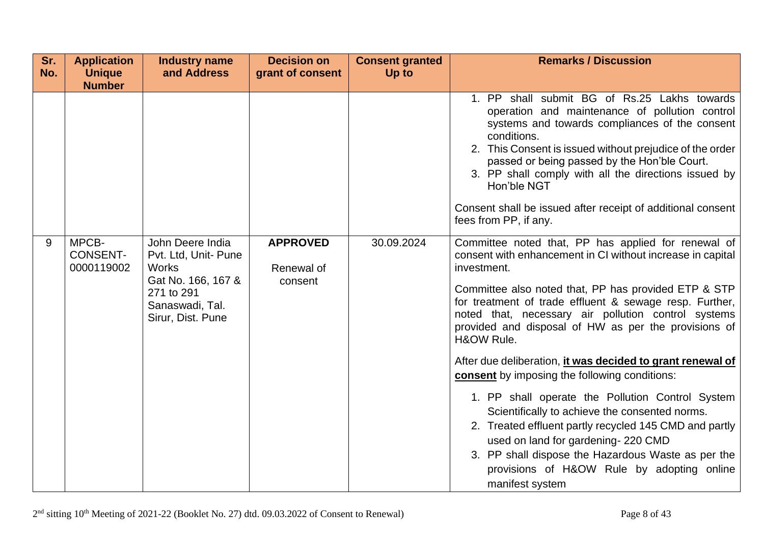| Sr.<br>No. | <b>Application</b><br><b>Unique</b><br><b>Number</b> | <b>Industry name</b><br>and Address                                                                              | <b>Decision on</b><br>grant of consent | <b>Consent granted</b><br>Up to | <b>Remarks / Discussion</b>                                                                                                                                                                                                                                                                                                                                                                                                                                                                       |
|------------|------------------------------------------------------|------------------------------------------------------------------------------------------------------------------|----------------------------------------|---------------------------------|---------------------------------------------------------------------------------------------------------------------------------------------------------------------------------------------------------------------------------------------------------------------------------------------------------------------------------------------------------------------------------------------------------------------------------------------------------------------------------------------------|
| 9          | MPCB-                                                | John Deere India                                                                                                 | <b>APPROVED</b>                        | 30.09.2024                      | 1. PP shall submit BG of Rs.25 Lakhs towards<br>operation and maintenance of pollution control<br>systems and towards compliances of the consent<br>conditions.<br>2. This Consent is issued without prejudice of the order<br>passed or being passed by the Hon'ble Court.<br>3. PP shall comply with all the directions issued by<br>Hon'ble NGT<br>Consent shall be issued after receipt of additional consent<br>fees from PP, if any.<br>Committee noted that, PP has applied for renewal of |
|            | <b>CONSENT-</b><br>0000119002                        | Pvt. Ltd, Unit- Pune<br><b>Works</b><br>Gat No. 166, 167 &<br>271 to 291<br>Sanaswadi, Tal.<br>Sirur, Dist. Pune | Renewal of<br>consent                  |                                 | consent with enhancement in CI without increase in capital<br>investment.<br>Committee also noted that, PP has provided ETP & STP<br>for treatment of trade effluent & sewage resp. Further,<br>noted that, necessary air pollution control systems<br>provided and disposal of HW as per the provisions of<br>H&OW Rule.                                                                                                                                                                         |
|            |                                                      |                                                                                                                  |                                        |                                 | After due deliberation, it was decided to grant renewal of<br><b>consent</b> by imposing the following conditions:<br>1. PP shall operate the Pollution Control System<br>Scientifically to achieve the consented norms.<br>2. Treated effluent partly recycled 145 CMD and partly<br>used on land for gardening-220 CMD<br>3. PP shall dispose the Hazardous Waste as per the<br>provisions of H&OW Rule by adopting online<br>manifest system                                                   |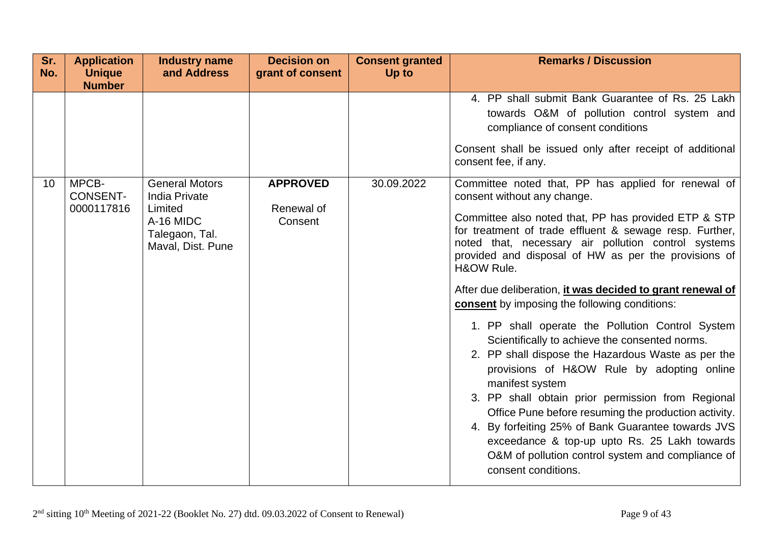| Sr.             | <b>Application</b>                     | <b>Industry name</b>                                                                                         | <b>Decision on</b>                       | <b>Consent granted</b> | <b>Remarks / Discussion</b>                                                                                                                                                                                                                                                                                                                                                                                                                                                                                                                                                                                                                                                                                                                                                                                                                                                                                                                                                          |
|-----------------|----------------------------------------|--------------------------------------------------------------------------------------------------------------|------------------------------------------|------------------------|--------------------------------------------------------------------------------------------------------------------------------------------------------------------------------------------------------------------------------------------------------------------------------------------------------------------------------------------------------------------------------------------------------------------------------------------------------------------------------------------------------------------------------------------------------------------------------------------------------------------------------------------------------------------------------------------------------------------------------------------------------------------------------------------------------------------------------------------------------------------------------------------------------------------------------------------------------------------------------------|
| No.             | <b>Unique</b><br><b>Number</b>         | and Address                                                                                                  | grant of consent                         | Up to                  |                                                                                                                                                                                                                                                                                                                                                                                                                                                                                                                                                                                                                                                                                                                                                                                                                                                                                                                                                                                      |
|                 |                                        |                                                                                                              |                                          |                        | 4. PP shall submit Bank Guarantee of Rs. 25 Lakh<br>towards O&M of pollution control system and<br>compliance of consent conditions<br>Consent shall be issued only after receipt of additional<br>consent fee, if any.                                                                                                                                                                                                                                                                                                                                                                                                                                                                                                                                                                                                                                                                                                                                                              |
| 10 <sup>°</sup> | MPCB-<br><b>CONSENT-</b><br>0000117816 | <b>General Motors</b><br><b>India Private</b><br>Limited<br>A-16 MIDC<br>Talegaon, Tal.<br>Maval, Dist. Pune | <b>APPROVED</b><br>Renewal of<br>Consent | 30.09.2022             | Committee noted that, PP has applied for renewal of<br>consent without any change.<br>Committee also noted that, PP has provided ETP & STP<br>for treatment of trade effluent & sewage resp. Further,<br>noted that, necessary air pollution control systems<br>provided and disposal of HW as per the provisions of<br>H&OW Rule.<br>After due deliberation, it was decided to grant renewal of<br><b>consent</b> by imposing the following conditions:<br>1. PP shall operate the Pollution Control System<br>Scientifically to achieve the consented norms.<br>2. PP shall dispose the Hazardous Waste as per the<br>provisions of H&OW Rule by adopting online<br>manifest system<br>3. PP shall obtain prior permission from Regional<br>Office Pune before resuming the production activity.<br>4. By forfeiting 25% of Bank Guarantee towards JVS<br>exceedance & top-up upto Rs. 25 Lakh towards<br>O&M of pollution control system and compliance of<br>consent conditions. |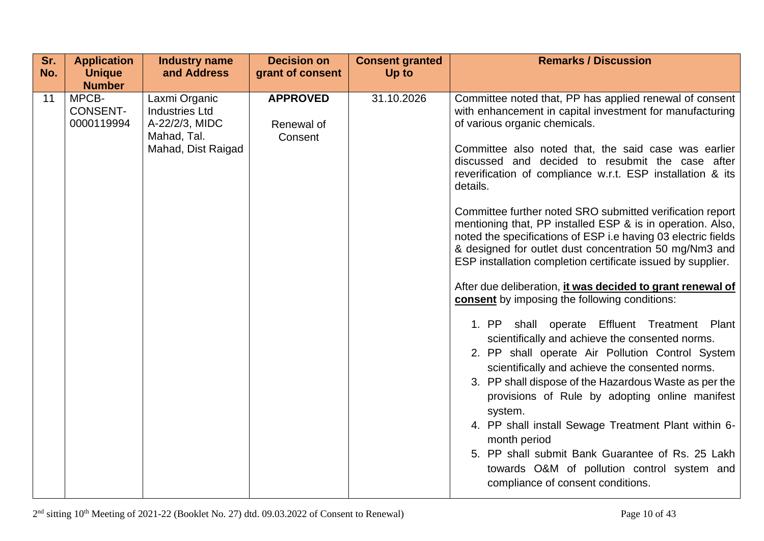| Sr.<br>No. | <b>Application</b><br><b>Unique</b>    | <b>Industry name</b><br>and Address                                                           | <b>Decision on</b><br>grant of consent   | <b>Consent granted</b><br>Up to | <b>Remarks / Discussion</b>                                                                                                                                                                                                                                                                                                                                                                                                                                                                                                                                                                                                                                                                                                                                                                                                                                                                                                                                                                                                                                                                                                                                                                                                                                                               |
|------------|----------------------------------------|-----------------------------------------------------------------------------------------------|------------------------------------------|---------------------------------|-------------------------------------------------------------------------------------------------------------------------------------------------------------------------------------------------------------------------------------------------------------------------------------------------------------------------------------------------------------------------------------------------------------------------------------------------------------------------------------------------------------------------------------------------------------------------------------------------------------------------------------------------------------------------------------------------------------------------------------------------------------------------------------------------------------------------------------------------------------------------------------------------------------------------------------------------------------------------------------------------------------------------------------------------------------------------------------------------------------------------------------------------------------------------------------------------------------------------------------------------------------------------------------------|
|            | <b>Number</b>                          |                                                                                               |                                          |                                 |                                                                                                                                                                                                                                                                                                                                                                                                                                                                                                                                                                                                                                                                                                                                                                                                                                                                                                                                                                                                                                                                                                                                                                                                                                                                                           |
| 11         | MPCB-<br><b>CONSENT-</b><br>0000119994 | Laxmi Organic<br><b>Industries Ltd</b><br>A-22/2/3, MIDC<br>Mahad, Tal.<br>Mahad, Dist Raigad | <b>APPROVED</b><br>Renewal of<br>Consent | 31.10.2026                      | Committee noted that, PP has applied renewal of consent<br>with enhancement in capital investment for manufacturing<br>of various organic chemicals.<br>Committee also noted that, the said case was earlier<br>discussed and decided to resubmit the case after<br>reverification of compliance w.r.t. ESP installation & its<br>details.<br>Committee further noted SRO submitted verification report<br>mentioning that, PP installed ESP & is in operation. Also,<br>noted the specifications of ESP i.e having 03 electric fields<br>& designed for outlet dust concentration 50 mg/Nm3 and<br>ESP installation completion certificate issued by supplier.<br>After due deliberation, it was decided to grant renewal of<br>consent by imposing the following conditions:<br>1. PP shall operate Effluent Treatment Plant<br>scientifically and achieve the consented norms.<br>2. PP shall operate Air Pollution Control System<br>scientifically and achieve the consented norms.<br>3. PP shall dispose of the Hazardous Waste as per the<br>provisions of Rule by adopting online manifest<br>system.<br>4. PP shall install Sewage Treatment Plant within 6-<br>month period<br>5. PP shall submit Bank Guarantee of Rs. 25 Lakh<br>towards O&M of pollution control system and |
|            |                                        |                                                                                               |                                          |                                 | compliance of consent conditions.                                                                                                                                                                                                                                                                                                                                                                                                                                                                                                                                                                                                                                                                                                                                                                                                                                                                                                                                                                                                                                                                                                                                                                                                                                                         |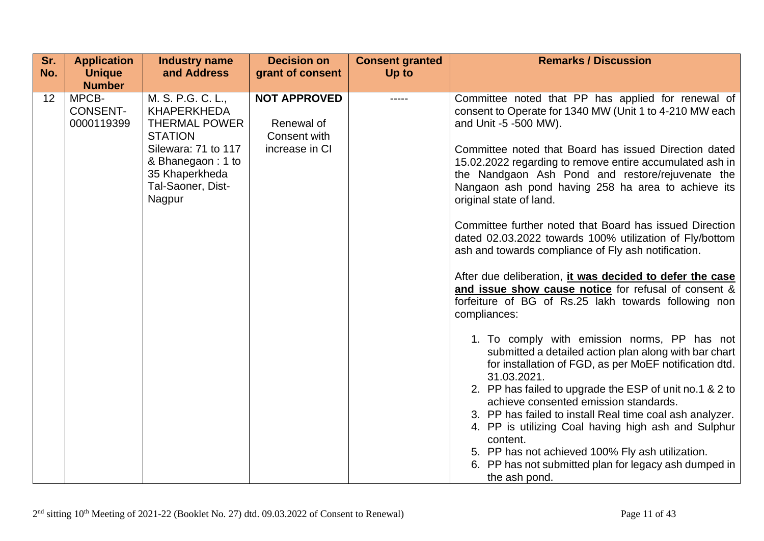| Sr.             | <b>Application</b>                     | <b>Industry name</b>                                                                                     | <b>Decision on</b>                                                  | <b>Consent granted</b> | <b>Remarks / Discussion</b>                                                                                                                                                                     |
|-----------------|----------------------------------------|----------------------------------------------------------------------------------------------------------|---------------------------------------------------------------------|------------------------|-------------------------------------------------------------------------------------------------------------------------------------------------------------------------------------------------|
| No.             | <b>Unique</b>                          | and Address                                                                                              | grant of consent                                                    | Up to                  |                                                                                                                                                                                                 |
|                 | <b>Number</b>                          |                                                                                                          |                                                                     |                        |                                                                                                                                                                                                 |
| 12 <sup>2</sup> | MPCB-<br><b>CONSENT-</b><br>0000119399 | M. S. P.G. C. L.,<br><b>KHAPERKHEDA</b><br><b>THERMAL POWER</b><br><b>STATION</b><br>Silewara: 71 to 117 | <b>NOT APPROVED</b><br>Renewal of<br>Consent with<br>increase in CI |                        | Committee noted that PP has applied for renewal of<br>consent to Operate for 1340 MW (Unit 1 to 4-210 MW each<br>and Unit -5 -500 MW).<br>Committee noted that Board has issued Direction dated |
|                 |                                        | & Bhanegaon: 1 to<br>35 Khaperkheda<br>Tal-Saoner, Dist-<br>Nagpur                                       |                                                                     |                        | 15.02.2022 regarding to remove entire accumulated ash in<br>the Nandgaon Ash Pond and restore/rejuvenate the<br>Nangaon ash pond having 258 ha area to achieve its<br>original state of land.   |
|                 |                                        |                                                                                                          |                                                                     |                        | Committee further noted that Board has issued Direction<br>dated 02.03.2022 towards 100% utilization of Fly/bottom<br>ash and towards compliance of Fly ash notification.                       |
|                 |                                        |                                                                                                          |                                                                     |                        | After due deliberation, it was decided to defer the case<br>and issue show cause notice for refusal of consent &<br>forfeiture of BG of Rs.25 lakh towards following non<br>compliances:        |
|                 |                                        |                                                                                                          |                                                                     |                        | 1. To comply with emission norms, PP has not<br>submitted a detailed action plan along with bar chart<br>for installation of FGD, as per MoEF notification dtd.<br>31.03.2021.                  |
|                 |                                        |                                                                                                          |                                                                     |                        | 2. PP has failed to upgrade the ESP of unit no.1 & 2 to<br>achieve consented emission standards.                                                                                                |
|                 |                                        |                                                                                                          |                                                                     |                        | 3. PP has failed to install Real time coal ash analyzer.<br>4. PP is utilizing Coal having high ash and Sulphur<br>content.                                                                     |
|                 |                                        |                                                                                                          |                                                                     |                        | 5. PP has not achieved 100% Fly ash utilization.                                                                                                                                                |
|                 |                                        |                                                                                                          |                                                                     |                        | 6. PP has not submitted plan for legacy ash dumped in<br>the ash pond.                                                                                                                          |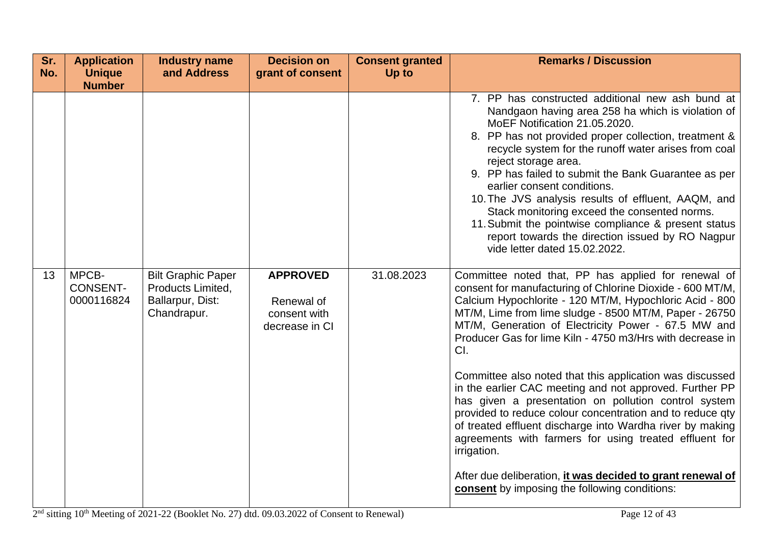| Sr.<br>No. | <b>Application</b><br><b>Unique</b><br><b>Number</b> | <b>Industry name</b><br>and Address                                               | <b>Decision on</b><br>grant of consent                          | <b>Consent granted</b><br>Up to | <b>Remarks / Discussion</b>                                                                                                                                                                                                                                                                                                                                                                                                                                                                                                                                                                                                |
|------------|------------------------------------------------------|-----------------------------------------------------------------------------------|-----------------------------------------------------------------|---------------------------------|----------------------------------------------------------------------------------------------------------------------------------------------------------------------------------------------------------------------------------------------------------------------------------------------------------------------------------------------------------------------------------------------------------------------------------------------------------------------------------------------------------------------------------------------------------------------------------------------------------------------------|
|            |                                                      |                                                                                   |                                                                 |                                 | 7. PP has constructed additional new ash bund at<br>Nandgaon having area 258 ha which is violation of<br>MoEF Notification 21.05.2020.<br>8. PP has not provided proper collection, treatment &<br>recycle system for the runoff water arises from coal<br>reject storage area.<br>9. PP has failed to submit the Bank Guarantee as per<br>earlier consent conditions.<br>10. The JVS analysis results of effluent, AAQM, and<br>Stack monitoring exceed the consented norms.<br>11. Submit the pointwise compliance & present status<br>report towards the direction issued by RO Nagpur<br>vide letter dated 15.02.2022. |
| 13         | MPCB-<br><b>CONSENT-</b><br>0000116824               | <b>Bilt Graphic Paper</b><br>Products Limited,<br>Ballarpur, Dist:<br>Chandrapur. | <b>APPROVED</b><br>Renewal of<br>consent with<br>decrease in CI | 31.08.2023                      | Committee noted that, PP has applied for renewal of<br>consent for manufacturing of Chlorine Dioxide - 600 MT/M,<br>Calcium Hypochlorite - 120 MT/M, Hypochloric Acid - 800<br>MT/M, Lime from lime sludge - 8500 MT/M, Paper - 26750<br>MT/M, Generation of Electricity Power - 67.5 MW and<br>Producer Gas for lime Kiln - 4750 m3/Hrs with decrease in<br>CI.                                                                                                                                                                                                                                                           |
|            |                                                      |                                                                                   |                                                                 |                                 | Committee also noted that this application was discussed<br>in the earlier CAC meeting and not approved. Further PP<br>has given a presentation on pollution control system<br>provided to reduce colour concentration and to reduce qty<br>of treated effluent discharge into Wardha river by making<br>agreements with farmers for using treated effluent for<br>irrigation.                                                                                                                                                                                                                                             |
|            |                                                      |                                                                                   |                                                                 |                                 | After due deliberation, <i>it was decided to grant renewal of</i><br>consent by imposing the following conditions:                                                                                                                                                                                                                                                                                                                                                                                                                                                                                                         |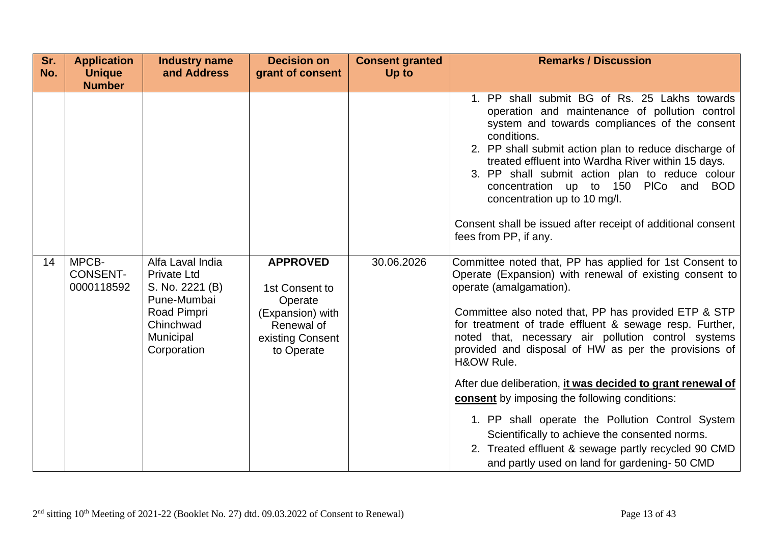| Sr.<br>No. | <b>Application</b><br><b>Unique</b><br><b>Number</b> | <b>Industry name</b><br>and Address                                                                                                     | <b>Decision on</b><br>grant of consent                                                                           | <b>Consent granted</b><br>Up to | <b>Remarks / Discussion</b>                                                                                                                                                                                                                                                                                                                                                                                                                                                                                                                                                                                                                                                                                                |
|------------|------------------------------------------------------|-----------------------------------------------------------------------------------------------------------------------------------------|------------------------------------------------------------------------------------------------------------------|---------------------------------|----------------------------------------------------------------------------------------------------------------------------------------------------------------------------------------------------------------------------------------------------------------------------------------------------------------------------------------------------------------------------------------------------------------------------------------------------------------------------------------------------------------------------------------------------------------------------------------------------------------------------------------------------------------------------------------------------------------------------|
|            |                                                      |                                                                                                                                         |                                                                                                                  |                                 | 1. PP shall submit BG of Rs. 25 Lakhs towards<br>operation and maintenance of pollution control<br>system and towards compliances of the consent<br>conditions.<br>2. PP shall submit action plan to reduce discharge of<br>treated effluent into Wardha River within 15 days.<br>3. PP shall submit action plan to reduce colour<br>concentration up to 150 PICo and<br><b>BOD</b><br>concentration up to 10 mg/l.<br>Consent shall be issued after receipt of additional consent<br>fees from PP, if any.                                                                                                                                                                                                                |
| 14         | MPCB-<br><b>CONSENT-</b><br>0000118592               | Alfa Laval India<br><b>Private Ltd</b><br>S. No. 2221 (B)<br>Pune-Mumbai<br>Road Pimpri<br>Chinchwad<br><b>Municipal</b><br>Corporation | <b>APPROVED</b><br>1st Consent to<br>Operate<br>(Expansion) with<br>Renewal of<br>existing Consent<br>to Operate | 30.06.2026                      | Committee noted that, PP has applied for 1st Consent to<br>Operate (Expansion) with renewal of existing consent to<br>operate (amalgamation).<br>Committee also noted that, PP has provided ETP & STP<br>for treatment of trade effluent & sewage resp. Further,<br>noted that, necessary air pollution control systems<br>provided and disposal of HW as per the provisions of<br>H&OW Rule.<br>After due deliberation, it was decided to grant renewal of<br>consent by imposing the following conditions:<br>1. PP shall operate the Pollution Control System<br>Scientifically to achieve the consented norms.<br>2. Treated effluent & sewage partly recycled 90 CMD<br>and partly used on land for gardening- 50 CMD |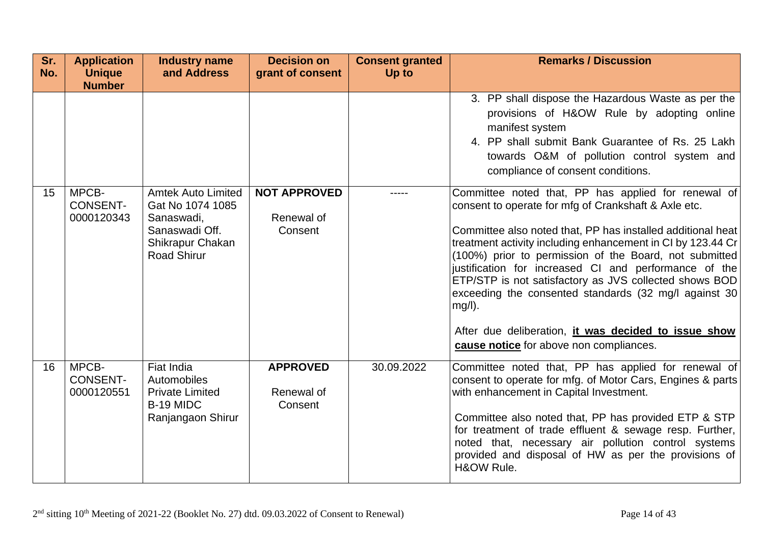| Sr.<br>No. | <b>Application</b><br><b>Unique</b>                     | <b>Industry name</b><br>and Address                                                                                     | <b>Decision on</b><br>grant of consent       | <b>Consent granted</b><br>Up to | <b>Remarks / Discussion</b>                                                                                                                                                                                                                                                                                                                                                                                                                                                                                                                                                                                                                                                                                                                                                                                         |
|------------|---------------------------------------------------------|-------------------------------------------------------------------------------------------------------------------------|----------------------------------------------|---------------------------------|---------------------------------------------------------------------------------------------------------------------------------------------------------------------------------------------------------------------------------------------------------------------------------------------------------------------------------------------------------------------------------------------------------------------------------------------------------------------------------------------------------------------------------------------------------------------------------------------------------------------------------------------------------------------------------------------------------------------------------------------------------------------------------------------------------------------|
| 15         | <b>Number</b><br>MPCB-<br><b>CONSENT-</b><br>0000120343 | <b>Amtek Auto Limited</b><br>Gat No 1074 1085<br>Sanaswadi,<br>Sanaswadi Off.<br>Shikrapur Chakan<br><b>Road Shirur</b> | <b>NOT APPROVED</b><br>Renewal of<br>Consent |                                 | 3. PP shall dispose the Hazardous Waste as per the<br>provisions of H&OW Rule by adopting online<br>manifest system<br>4. PP shall submit Bank Guarantee of Rs. 25 Lakh<br>towards O&M of pollution control system and<br>compliance of consent conditions.<br>Committee noted that, PP has applied for renewal of<br>consent to operate for mfg of Crankshaft & Axle etc.<br>Committee also noted that, PP has installed additional heat<br>treatment activity including enhancement in CI by 123.44 Cr<br>(100%) prior to permission of the Board, not submitted<br>justification for increased CI and performance of the<br>ETP/STP is not satisfactory as JVS collected shows BOD<br>exceeding the consented standards (32 mg/l against 30<br>$mg/l$ ).<br>After due deliberation, it was decided to issue show |
| 16         | MPCB-<br><b>CONSENT-</b><br>0000120551                  | Fiat India<br>Automobiles<br><b>Private Limited</b><br>B-19 MIDC<br>Ranjangaon Shirur                                   | <b>APPROVED</b><br>Renewal of<br>Consent     | 30.09.2022                      | cause notice for above non compliances.<br>Committee noted that, PP has applied for renewal of<br>consent to operate for mfg. of Motor Cars, Engines & parts<br>with enhancement in Capital Investment.<br>Committee also noted that, PP has provided ETP & STP<br>for treatment of trade effluent & sewage resp. Further,<br>noted that, necessary air pollution control systems<br>provided and disposal of HW as per the provisions of<br>H&OW Rule.                                                                                                                                                                                                                                                                                                                                                             |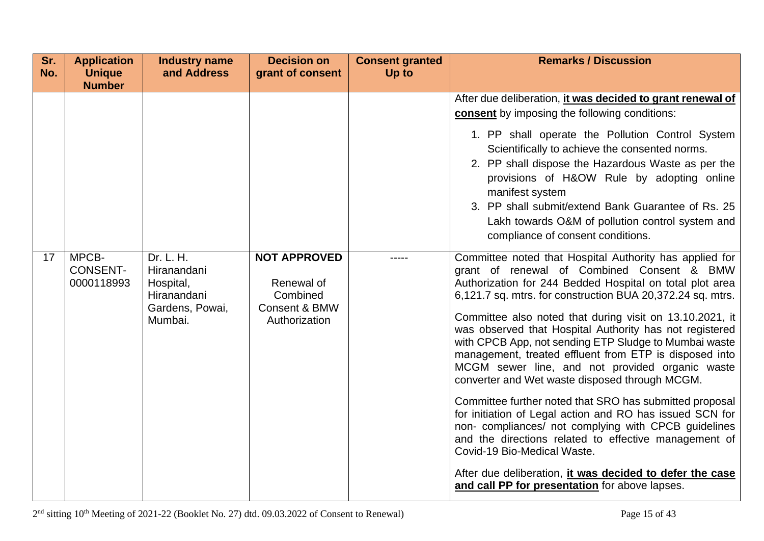| Sr.<br>No. | <b>Application</b><br><b>Unique</b><br><b>Number</b> | <b>Industry name</b><br>and Address                                                | <b>Decision on</b><br>grant of consent                                          | <b>Consent granted</b><br>Up to | <b>Remarks / Discussion</b>                                                                                                                                                                                                                                                                                                                                                                                                                                                                                                                                                                                                                                                                                                                                                                                                                                                                                                                                        |
|------------|------------------------------------------------------|------------------------------------------------------------------------------------|---------------------------------------------------------------------------------|---------------------------------|--------------------------------------------------------------------------------------------------------------------------------------------------------------------------------------------------------------------------------------------------------------------------------------------------------------------------------------------------------------------------------------------------------------------------------------------------------------------------------------------------------------------------------------------------------------------------------------------------------------------------------------------------------------------------------------------------------------------------------------------------------------------------------------------------------------------------------------------------------------------------------------------------------------------------------------------------------------------|
|            |                                                      |                                                                                    |                                                                                 |                                 | After due deliberation, <i>it was decided to grant renewal of</i><br><b>consent</b> by imposing the following conditions:<br>1. PP shall operate the Pollution Control System<br>Scientifically to achieve the consented norms.<br>2. PP shall dispose the Hazardous Waste as per the<br>provisions of H&OW Rule by adopting online<br>manifest system<br>3. PP shall submit/extend Bank Guarantee of Rs. 25<br>Lakh towards O&M of pollution control system and<br>compliance of consent conditions.                                                                                                                                                                                                                                                                                                                                                                                                                                                              |
| 17         | MPCB-<br><b>CONSENT-</b><br>0000118993               | Dr. L. H.<br>Hiranandani<br>Hospital,<br>Hiranandani<br>Gardens, Powai,<br>Mumbai. | <b>NOT APPROVED</b><br>Renewal of<br>Combined<br>Consent & BMW<br>Authorization |                                 | Committee noted that Hospital Authority has applied for<br>grant of renewal of Combined Consent & BMW<br>Authorization for 244 Bedded Hospital on total plot area<br>6,121.7 sq. mtrs. for construction BUA 20,372.24 sq. mtrs.<br>Committee also noted that during visit on 13.10.2021, it<br>was observed that Hospital Authority has not registered<br>with CPCB App, not sending ETP Sludge to Mumbai waste<br>management, treated effluent from ETP is disposed into<br>MCGM sewer line, and not provided organic waste<br>converter and Wet waste disposed through MCGM.<br>Committee further noted that SRO has submitted proposal<br>for initiation of Legal action and RO has issued SCN for<br>non-compliances/ not complying with CPCB guidelines<br>and the directions related to effective management of<br>Covid-19 Bio-Medical Waste.<br>After due deliberation, it was decided to defer the case<br>and call PP for presentation for above lapses. |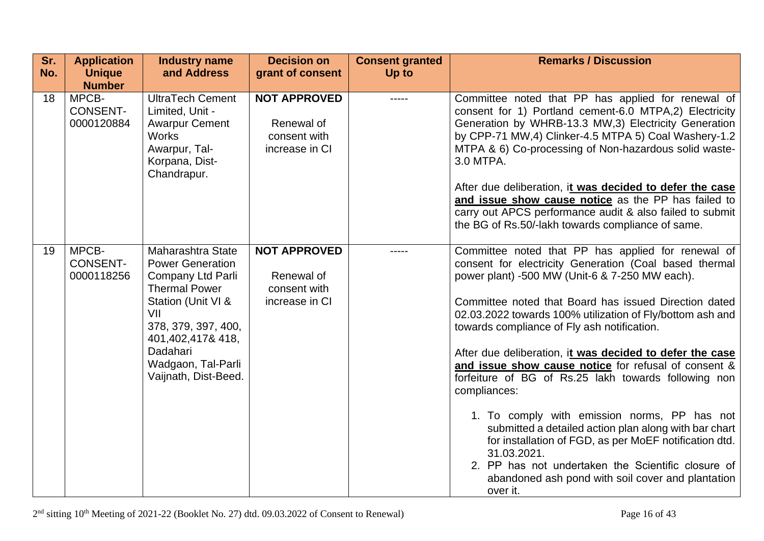| Sr.<br>No. | <b>Application</b><br><b>Unique</b><br><b>Number</b> | <b>Industry name</b><br>and Address                                                                                                                                                                                         | <b>Decision on</b><br>grant of consent                              | <b>Consent granted</b><br>Up to | <b>Remarks / Discussion</b>                                                                                                                                                                                                                                                                                                                                                                                                                                                                                                                                                                                                                                                                                                                                                                                                              |
|------------|------------------------------------------------------|-----------------------------------------------------------------------------------------------------------------------------------------------------------------------------------------------------------------------------|---------------------------------------------------------------------|---------------------------------|------------------------------------------------------------------------------------------------------------------------------------------------------------------------------------------------------------------------------------------------------------------------------------------------------------------------------------------------------------------------------------------------------------------------------------------------------------------------------------------------------------------------------------------------------------------------------------------------------------------------------------------------------------------------------------------------------------------------------------------------------------------------------------------------------------------------------------------|
| 18         | MPCB-<br><b>CONSENT-</b><br>0000120884               | <b>UltraTech Cement</b><br>Limited, Unit -<br><b>Awarpur Cement</b><br><b>Works</b><br>Awarpur, Tal-<br>Korpana, Dist-<br>Chandrapur.                                                                                       | <b>NOT APPROVED</b><br>Renewal of<br>consent with<br>increase in CI |                                 | Committee noted that PP has applied for renewal of<br>consent for 1) Portland cement-6.0 MTPA,2) Electricity<br>Generation by WHRB-13.3 MW,3) Electricity Generation<br>by CPP-71 MW,4) Clinker-4.5 MTPA 5) Coal Washery-1.2<br>MTPA & 6) Co-processing of Non-hazardous solid waste-<br>3.0 MTPA.<br>After due deliberation, it was decided to defer the case<br>and issue show cause notice as the PP has failed to<br>carry out APCS performance audit & also failed to submit<br>the BG of Rs.50/-lakh towards compliance of same.                                                                                                                                                                                                                                                                                                   |
| 19         | MPCB-<br><b>CONSENT-</b><br>0000118256               | Maharashtra State<br><b>Power Generation</b><br>Company Ltd Parli<br><b>Thermal Power</b><br>Station (Unit VI &<br>VII<br>378, 379, 397, 400,<br>401,402,417&418,<br>Dadahari<br>Wadgaon, Tal-Parli<br>Vaijnath, Dist-Beed. | <b>NOT APPROVED</b><br>Renewal of<br>consent with<br>increase in CI | -----                           | Committee noted that PP has applied for renewal of<br>consent for electricity Generation (Coal based thermal<br>power plant) -500 MW (Unit-6 & 7-250 MW each).<br>Committee noted that Board has issued Direction dated<br>02.03.2022 towards 100% utilization of Fly/bottom ash and<br>towards compliance of Fly ash notification.<br>After due deliberation, it was decided to defer the case<br>and issue show cause notice for refusal of consent &<br>forfeiture of BG of Rs.25 lakh towards following non<br>compliances:<br>1. To comply with emission norms, PP has not<br>submitted a detailed action plan along with bar chart<br>for installation of FGD, as per MoEF notification dtd.<br>31.03.2021.<br>2. PP has not undertaken the Scientific closure of<br>abandoned ash pond with soil cover and plantation<br>over it. |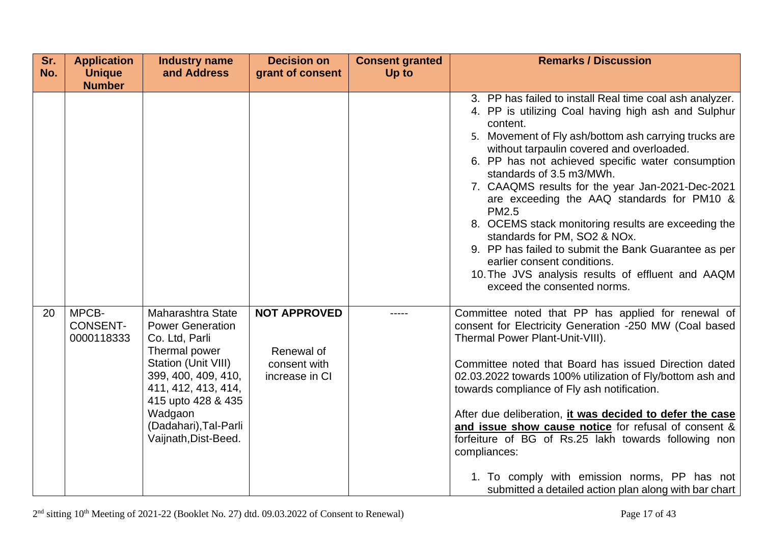| Sr.<br>No. | <b>Application</b><br><b>Unique</b>    | <b>Industry name</b><br>and Address                                                                                                                                                                                                    | <b>Decision on</b><br>grant of consent                              | <b>Consent granted</b><br>Up to | <b>Remarks / Discussion</b>                                                                                                                                                                                                                                                                                                                                                                                                                                                                                                                                                                                                                                                                            |
|------------|----------------------------------------|----------------------------------------------------------------------------------------------------------------------------------------------------------------------------------------------------------------------------------------|---------------------------------------------------------------------|---------------------------------|--------------------------------------------------------------------------------------------------------------------------------------------------------------------------------------------------------------------------------------------------------------------------------------------------------------------------------------------------------------------------------------------------------------------------------------------------------------------------------------------------------------------------------------------------------------------------------------------------------------------------------------------------------------------------------------------------------|
|            | <b>Number</b>                          |                                                                                                                                                                                                                                        |                                                                     |                                 |                                                                                                                                                                                                                                                                                                                                                                                                                                                                                                                                                                                                                                                                                                        |
|            |                                        |                                                                                                                                                                                                                                        |                                                                     |                                 | 3. PP has failed to install Real time coal ash analyzer.<br>4. PP is utilizing Coal having high ash and Sulphur<br>content.<br>5. Movement of Fly ash/bottom ash carrying trucks are<br>without tarpaulin covered and overloaded.<br>6. PP has not achieved specific water consumption<br>standards of 3.5 m3/MWh.<br>7. CAAQMS results for the year Jan-2021-Dec-2021<br>are exceeding the AAQ standards for PM10 &<br><b>PM2.5</b><br>8. OCEMS stack monitoring results are exceeding the<br>standards for PM, SO2 & NOx.<br>9. PP has failed to submit the Bank Guarantee as per<br>earlier consent conditions.<br>10. The JVS analysis results of effluent and AAQM<br>exceed the consented norms. |
| 20         | MPCB-<br><b>CONSENT-</b><br>0000118333 | Maharashtra State<br><b>Power Generation</b><br>Co. Ltd, Parli<br>Thermal power<br>Station (Unit VIII)<br>399, 400, 409, 410,<br>411, 412, 413, 414,<br>415 upto 428 & 435<br>Wadgaon<br>(Dadahari), Tal-Parli<br>Vaijnath, Dist-Beed. | <b>NOT APPROVED</b><br>Renewal of<br>consent with<br>increase in CI |                                 | Committee noted that PP has applied for renewal of<br>consent for Electricity Generation -250 MW (Coal based<br>Thermal Power Plant-Unit-VIII).<br>Committee noted that Board has issued Direction dated<br>02.03.2022 towards 100% utilization of Fly/bottom ash and<br>towards compliance of Fly ash notification.<br>After due deliberation, it was decided to defer the case<br>and issue show cause notice for refusal of consent &<br>forfeiture of BG of Rs.25 lakh towards following non<br>compliances:<br>1. To comply with emission norms, PP has not<br>submitted a detailed action plan along with bar chart                                                                              |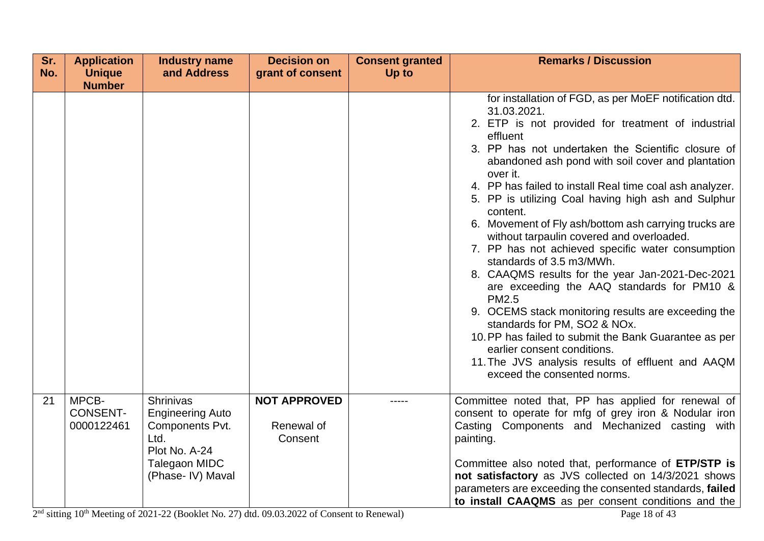| Sr. | <b>Application</b>                     | <b>Industry name</b>                                                                                                          | <b>Decision on</b>                           | <b>Consent granted</b> | <b>Remarks / Discussion</b>                                                                                                                                                                                                                                                                                                                                                                                                                                                                                                                                                                                                                                                                                                                                                                                                                                                                                                                                               |
|-----|----------------------------------------|-------------------------------------------------------------------------------------------------------------------------------|----------------------------------------------|------------------------|---------------------------------------------------------------------------------------------------------------------------------------------------------------------------------------------------------------------------------------------------------------------------------------------------------------------------------------------------------------------------------------------------------------------------------------------------------------------------------------------------------------------------------------------------------------------------------------------------------------------------------------------------------------------------------------------------------------------------------------------------------------------------------------------------------------------------------------------------------------------------------------------------------------------------------------------------------------------------|
| No. | <b>Unique</b><br><b>Number</b>         | and Address                                                                                                                   | grant of consent                             | Up to                  |                                                                                                                                                                                                                                                                                                                                                                                                                                                                                                                                                                                                                                                                                                                                                                                                                                                                                                                                                                           |
|     |                                        |                                                                                                                               |                                              |                        | for installation of FGD, as per MoEF notification dtd.<br>31.03.2021.<br>2. ETP is not provided for treatment of industrial<br>effluent<br>3. PP has not undertaken the Scientific closure of<br>abandoned ash pond with soil cover and plantation<br>over it.<br>4. PP has failed to install Real time coal ash analyzer.<br>5. PP is utilizing Coal having high ash and Sulphur<br>content.<br>6. Movement of Fly ash/bottom ash carrying trucks are<br>without tarpaulin covered and overloaded.<br>7. PP has not achieved specific water consumption<br>standards of 3.5 m3/MWh.<br>8. CAAQMS results for the year Jan-2021-Dec-2021<br>are exceeding the AAQ standards for PM10 &<br><b>PM2.5</b><br>9. OCEMS stack monitoring results are exceeding the<br>standards for PM, SO2 & NOx.<br>10. PP has failed to submit the Bank Guarantee as per<br>earlier consent conditions.<br>11. The JVS analysis results of effluent and AAQM<br>exceed the consented norms. |
| 21  | MPCB-<br><b>CONSENT-</b><br>0000122461 | <b>Shrinivas</b><br><b>Engineering Auto</b><br>Components Pvt.<br>Ltd.<br>Plot No. A-24<br>Talegaon MIDC<br>(Phase- IV) Maval | <b>NOT APPROVED</b><br>Renewal of<br>Consent | -----                  | Committee noted that, PP has applied for renewal of<br>consent to operate for mfg of grey iron & Nodular iron<br>Casting Components and Mechanized casting with<br>painting.<br>Committee also noted that, performance of ETP/STP is<br>not satisfactory as JVS collected on 14/3/2021 shows<br>parameters are exceeding the consented standards, failed<br>to install CAAQMS as per consent conditions and the                                                                                                                                                                                                                                                                                                                                                                                                                                                                                                                                                           |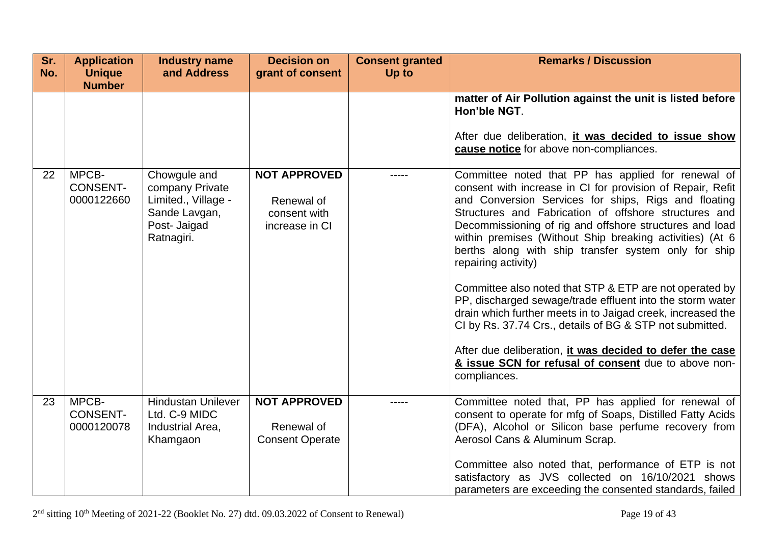| Sr.<br>No. | <b>Application</b><br><b>Unique</b><br><b>Number</b> | <b>Industry name</b><br>and Address                                                                   | <b>Decision on</b><br>grant of consent                              | <b>Consent granted</b><br>Up to | <b>Remarks / Discussion</b>                                                                                                                                                                                                                                                                                                                                                                                                                                                                                                                                                                                                                                                                                                                                                                                                    |
|------------|------------------------------------------------------|-------------------------------------------------------------------------------------------------------|---------------------------------------------------------------------|---------------------------------|--------------------------------------------------------------------------------------------------------------------------------------------------------------------------------------------------------------------------------------------------------------------------------------------------------------------------------------------------------------------------------------------------------------------------------------------------------------------------------------------------------------------------------------------------------------------------------------------------------------------------------------------------------------------------------------------------------------------------------------------------------------------------------------------------------------------------------|
|            |                                                      |                                                                                                       |                                                                     |                                 | matter of Air Pollution against the unit is listed before<br>Hon'ble NGT.<br>After due deliberation, it was decided to issue show<br>cause notice for above non-compliances.                                                                                                                                                                                                                                                                                                                                                                                                                                                                                                                                                                                                                                                   |
| 22         | MPCB-<br><b>CONSENT-</b><br>0000122660               | Chowgule and<br>company Private<br>Limited., Village -<br>Sande Lavgan,<br>Post- Jaigad<br>Ratnagiri. | <b>NOT APPROVED</b><br>Renewal of<br>consent with<br>increase in CI | -----                           | Committee noted that PP has applied for renewal of<br>consent with increase in CI for provision of Repair, Refit<br>and Conversion Services for ships, Rigs and floating<br>Structures and Fabrication of offshore structures and<br>Decommissioning of rig and offshore structures and load<br>within premises (Without Ship breaking activities) (At 6<br>berths along with ship transfer system only for ship<br>repairing activity)<br>Committee also noted that STP & ETP are not operated by<br>PP, discharged sewage/trade effluent into the storm water<br>drain which further meets in to Jaigad creek, increased the<br>CI by Rs. 37.74 Crs., details of BG & STP not submitted.<br>After due deliberation, it was decided to defer the case<br>& issue SCN for refusal of consent due to above non-<br>compliances. |
| 23         | MPCB-<br><b>CONSENT-</b><br>0000120078               | <b>Hindustan Unilever</b><br>Ltd. C-9 MIDC<br>Industrial Area,<br>Khamgaon                            | <b>NOT APPROVED</b><br>Renewal of<br><b>Consent Operate</b>         |                                 | Committee noted that, PP has applied for renewal of<br>consent to operate for mfg of Soaps, Distilled Fatty Acids<br>(DFA), Alcohol or Silicon base perfume recovery from<br>Aerosol Cans & Aluminum Scrap.<br>Committee also noted that, performance of ETP is not<br>satisfactory as JVS collected on 16/10/2021 shows<br>parameters are exceeding the consented standards, failed                                                                                                                                                                                                                                                                                                                                                                                                                                           |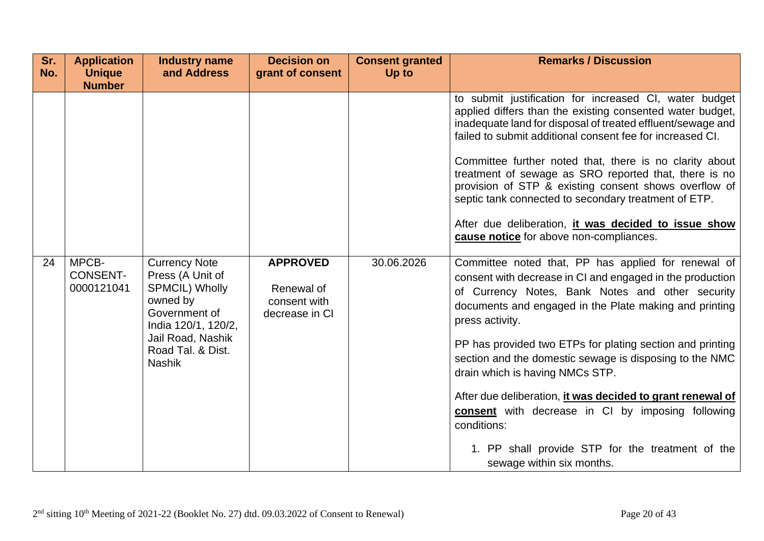| Sr.<br>No. | <b>Application</b><br><b>Unique</b><br><b>Number</b> | <b>Industry name</b><br>and Address                                                                                                                                              | <b>Decision on</b><br>grant of consent                          | <b>Consent granted</b><br>Up to | <b>Remarks / Discussion</b>                                                                                                                                                                                                                                                                                                                                                                                                                                                                                                                                                                                                            |
|------------|------------------------------------------------------|----------------------------------------------------------------------------------------------------------------------------------------------------------------------------------|-----------------------------------------------------------------|---------------------------------|----------------------------------------------------------------------------------------------------------------------------------------------------------------------------------------------------------------------------------------------------------------------------------------------------------------------------------------------------------------------------------------------------------------------------------------------------------------------------------------------------------------------------------------------------------------------------------------------------------------------------------------|
|            |                                                      |                                                                                                                                                                                  |                                                                 |                                 | to submit justification for increased CI, water budget<br>applied differs than the existing consented water budget,<br>inadequate land for disposal of treated effluent/sewage and<br>failed to submit additional consent fee for increased CI.<br>Committee further noted that, there is no clarity about<br>treatment of sewage as SRO reported that, there is no<br>provision of STP & existing consent shows overflow of<br>septic tank connected to secondary treatment of ETP.<br>After due deliberation, it was decided to issue show<br>cause notice for above non-compliances.                                                |
| 24         | MPCB-<br><b>CONSENT-</b><br>0000121041               | <b>Currency Note</b><br>Press (A Unit of<br><b>SPMCIL) Wholly</b><br>owned by<br>Government of<br>India 120/1, 120/2,<br>Jail Road, Nashik<br>Road Tal. & Dist.<br><b>Nashik</b> | <b>APPROVED</b><br>Renewal of<br>consent with<br>decrease in CI | 30.06.2026                      | Committee noted that, PP has applied for renewal of<br>consent with decrease in CI and engaged in the production<br>of Currency Notes, Bank Notes and other security<br>documents and engaged in the Plate making and printing<br>press activity.<br>PP has provided two ETPs for plating section and printing<br>section and the domestic sewage is disposing to the NMC<br>drain which is having NMCs STP.<br>After due deliberation, it was decided to grant renewal of<br><b>consent</b> with decrease in CI by imposing following<br>conditions:<br>1. PP shall provide STP for the treatment of the<br>sewage within six months. |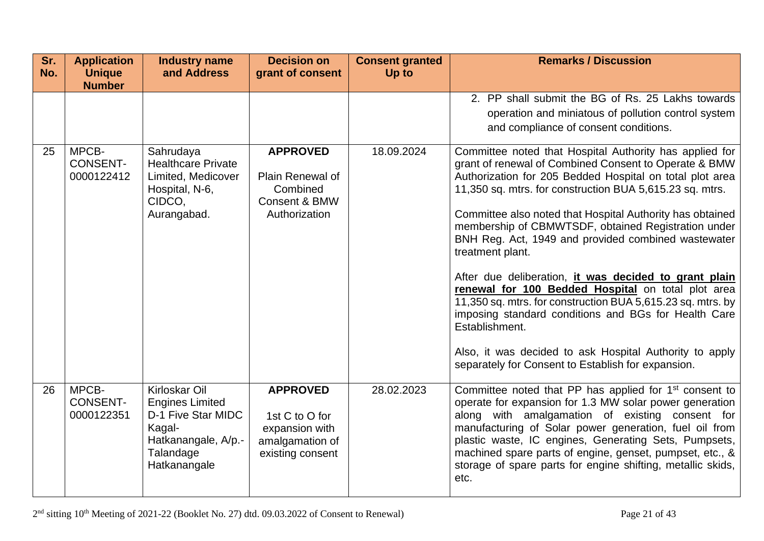| Sr.<br>No. | <b>Application</b><br><b>Unique</b><br><b>Number</b> | <b>Industry name</b><br>and Address                                                                                         | <b>Decision on</b><br>grant of consent                                                     | <b>Consent granted</b><br>Up to | <b>Remarks / Discussion</b>                                                                                                                                                                                                                                                                                                                                                                                                                                                                                                                                                                                                                                                                                                                                                                                      |
|------------|------------------------------------------------------|-----------------------------------------------------------------------------------------------------------------------------|--------------------------------------------------------------------------------------------|---------------------------------|------------------------------------------------------------------------------------------------------------------------------------------------------------------------------------------------------------------------------------------------------------------------------------------------------------------------------------------------------------------------------------------------------------------------------------------------------------------------------------------------------------------------------------------------------------------------------------------------------------------------------------------------------------------------------------------------------------------------------------------------------------------------------------------------------------------|
|            |                                                      |                                                                                                                             |                                                                                            |                                 | 2. PP shall submit the BG of Rs. 25 Lakhs towards<br>operation and miniatous of pollution control system<br>and compliance of consent conditions.                                                                                                                                                                                                                                                                                                                                                                                                                                                                                                                                                                                                                                                                |
| 25         | MPCB-<br><b>CONSENT-</b><br>0000122412               | Sahrudaya<br><b>Healthcare Private</b><br>Limited, Medicover<br>Hospital, N-6,<br>CIDCO,<br>Aurangabad.                     | <b>APPROVED</b><br>Plain Renewal of<br>Combined<br>Consent & BMW<br>Authorization          | 18.09.2024                      | Committee noted that Hospital Authority has applied for<br>grant of renewal of Combined Consent to Operate & BMW<br>Authorization for 205 Bedded Hospital on total plot area<br>11,350 sq. mtrs. for construction BUA 5,615.23 sq. mtrs.<br>Committee also noted that Hospital Authority has obtained<br>membership of CBMWTSDF, obtained Registration under<br>BNH Reg. Act, 1949 and provided combined wastewater<br>treatment plant.<br>After due deliberation, it was decided to grant plain<br>renewal for 100 Bedded Hospital on total plot area<br>11,350 sq. mtrs. for construction BUA 5,615.23 sq. mtrs. by<br>imposing standard conditions and BGs for Health Care<br>Establishment.<br>Also, it was decided to ask Hospital Authority to apply<br>separately for Consent to Establish for expansion. |
| 26         | MPCB-<br><b>CONSENT-</b><br>0000122351               | Kirloskar Oil<br><b>Engines Limited</b><br>D-1 Five Star MIDC<br>Kagal-<br>Hatkanangale, A/p.-<br>Talandage<br>Hatkanangale | <b>APPROVED</b><br>1st C to O for<br>expansion with<br>amalgamation of<br>existing consent | 28.02.2023                      | Committee noted that PP has applied for 1 <sup>st</sup> consent to<br>operate for expansion for 1.3 MW solar power generation<br>along with amalgamation of existing consent for<br>manufacturing of Solar power generation, fuel oil from<br>plastic waste, IC engines, Generating Sets, Pumpsets,<br>machined spare parts of engine, genset, pumpset, etc., &<br>storage of spare parts for engine shifting, metallic skids,<br>etc.                                                                                                                                                                                                                                                                                                                                                                           |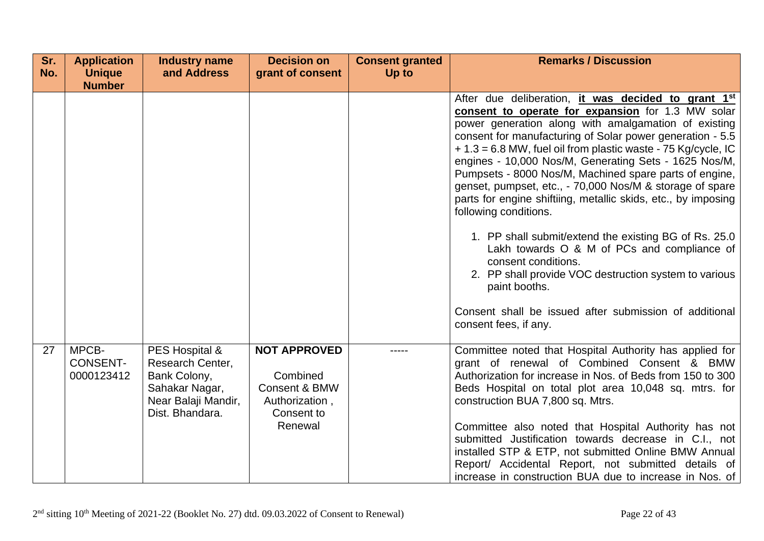| Sr.<br>No. | <b>Application</b><br><b>Unique</b>                                                                                                                      | <b>Industry name</b><br>and Address                                                                    | <b>Decision on</b><br>grant of consent | <b>Consent granted</b><br>Up to                                                                                                                                                                                                                                                                                          | <b>Remarks / Discussion</b>                                                                                                                                                                                                                                                                                                                                                                                                                                                                                                                                                          |
|------------|----------------------------------------------------------------------------------------------------------------------------------------------------------|--------------------------------------------------------------------------------------------------------|----------------------------------------|--------------------------------------------------------------------------------------------------------------------------------------------------------------------------------------------------------------------------------------------------------------------------------------------------------------------------|--------------------------------------------------------------------------------------------------------------------------------------------------------------------------------------------------------------------------------------------------------------------------------------------------------------------------------------------------------------------------------------------------------------------------------------------------------------------------------------------------------------------------------------------------------------------------------------|
|            | <b>Number</b>                                                                                                                                            |                                                                                                        |                                        |                                                                                                                                                                                                                                                                                                                          |                                                                                                                                                                                                                                                                                                                                                                                                                                                                                                                                                                                      |
|            |                                                                                                                                                          |                                                                                                        |                                        |                                                                                                                                                                                                                                                                                                                          | After due deliberation, it was decided to grant 1 <sup>st</sup><br>consent to operate for expansion for 1.3 MW solar<br>power generation along with amalgamation of existing<br>consent for manufacturing of Solar power generation - 5.5<br>$+1.3 = 6.8$ MW, fuel oil from plastic waste - 75 Kg/cycle, IC<br>engines - 10,000 Nos/M, Generating Sets - 1625 Nos/M,<br>Pumpsets - 8000 Nos/M, Machined spare parts of engine,<br>genset, pumpset, etc., - 70,000 Nos/M & storage of spare<br>parts for engine shiftiing, metallic skids, etc., by imposing<br>following conditions. |
|            |                                                                                                                                                          |                                                                                                        |                                        |                                                                                                                                                                                                                                                                                                                          | 1. PP shall submit/extend the existing BG of Rs. 25.0<br>Lakh towards O & M of PCs and compliance of<br>consent conditions.<br>2. PP shall provide VOC destruction system to various<br>paint booths.                                                                                                                                                                                                                                                                                                                                                                                |
|            |                                                                                                                                                          |                                                                                                        |                                        |                                                                                                                                                                                                                                                                                                                          | Consent shall be issued after submission of additional<br>consent fees, if any.                                                                                                                                                                                                                                                                                                                                                                                                                                                                                                      |
| 27         | MPCB-<br>PES Hospital &<br><b>CONSENT-</b><br>Research Center,<br>0000123412<br>Bank Colony,<br>Sahakar Nagar,<br>Near Balaji Mandir,<br>Dist. Bhandara. | <b>NOT APPROVED</b><br>Combined<br><b>Consent &amp; BMW</b><br>Authorization,<br>Consent to<br>Renewal |                                        | Committee noted that Hospital Authority has applied for<br>grant of renewal of Combined Consent & BMW<br>Authorization for increase in Nos. of Beds from 150 to 300<br>Beds Hospital on total plot area 10,048 sq. mtrs. for<br>construction BUA 7,800 sq. Mtrs.<br>Committee also noted that Hospital Authority has not |                                                                                                                                                                                                                                                                                                                                                                                                                                                                                                                                                                                      |
|            |                                                                                                                                                          |                                                                                                        |                                        |                                                                                                                                                                                                                                                                                                                          | submitted Justification towards decrease in C.I., not<br>installed STP & ETP, not submitted Online BMW Annual<br>Report/ Accidental Report, not submitted details of<br>increase in construction BUA due to increase in Nos. of                                                                                                                                                                                                                                                                                                                                                      |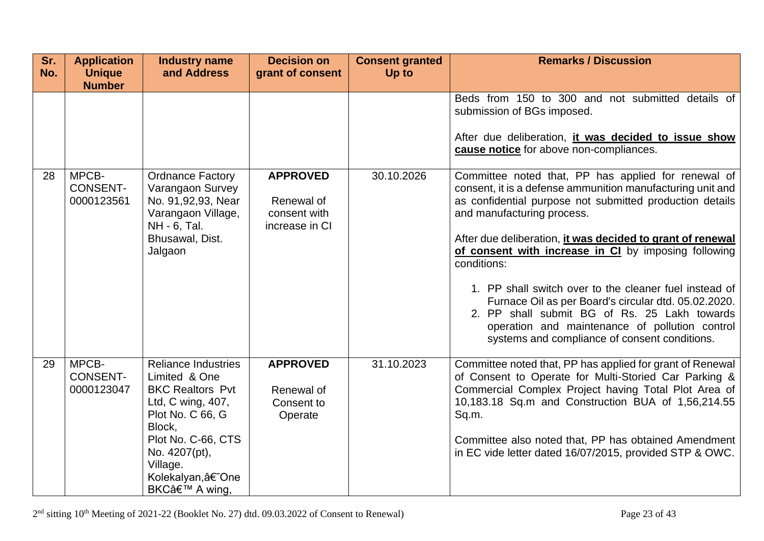| Sr.<br>No. | <b>Application</b><br><b>Unique</b>    | <b>Industry name</b><br>and Address                                                                                                                                                                               | <b>Decision on</b><br>grant of consent                          | <b>Consent granted</b><br>Up to | <b>Remarks / Discussion</b>                                                                                                                                                                                                                                                                                                                                                                                                                                                                                                                                                                                           |
|------------|----------------------------------------|-------------------------------------------------------------------------------------------------------------------------------------------------------------------------------------------------------------------|-----------------------------------------------------------------|---------------------------------|-----------------------------------------------------------------------------------------------------------------------------------------------------------------------------------------------------------------------------------------------------------------------------------------------------------------------------------------------------------------------------------------------------------------------------------------------------------------------------------------------------------------------------------------------------------------------------------------------------------------------|
|            | <b>Number</b>                          |                                                                                                                                                                                                                   |                                                                 |                                 |                                                                                                                                                                                                                                                                                                                                                                                                                                                                                                                                                                                                                       |
|            |                                        |                                                                                                                                                                                                                   |                                                                 |                                 | Beds from 150 to 300 and not submitted details of<br>submission of BGs imposed.<br>After due deliberation, <i>it was decided to issue show</i><br>cause notice for above non-compliances.                                                                                                                                                                                                                                                                                                                                                                                                                             |
| 28         | MPCB-<br><b>CONSENT-</b><br>0000123561 | <b>Ordnance Factory</b><br>Varangaon Survey<br>No. 91,92,93, Near<br>Varangaon Village,<br>NH - 6, Tal.<br>Bhusawal, Dist.<br>Jalgaon                                                                             | <b>APPROVED</b><br>Renewal of<br>consent with<br>increase in CI | 30.10.2026                      | Committee noted that, PP has applied for renewal of<br>consent, it is a defense ammunition manufacturing unit and<br>as confidential purpose not submitted production details<br>and manufacturing process.<br>After due deliberation, it was decided to grant of renewal<br>of consent with increase in CI by imposing following<br>conditions:<br>1. PP shall switch over to the cleaner fuel instead of<br>Furnace Oil as per Board's circular dtd. 05.02.2020.<br>2. PP shall submit BG of Rs. 25 Lakh towards<br>operation and maintenance of pollution control<br>systems and compliance of consent conditions. |
| 29         | MPCB-<br><b>CONSENT-</b><br>0000123047 | <b>Reliance Industries</b><br>Limited & One<br><b>BKC Realtors Pvt</b><br>Ltd, C wing, 407,<br>Plot No. C 66, G<br>Block,<br>Plot No. C-66, CTS<br>No. 4207(pt),<br>Village.<br>Kolekalyan,â€~One<br>BKC' A wing, | <b>APPROVED</b><br>Renewal of<br>Consent to<br>Operate          | 31.10.2023                      | Committee noted that, PP has applied for grant of Renewal<br>of Consent to Operate for Multi-Storied Car Parking &<br>Commercial Complex Project having Total Plot Area of<br>10,183.18 Sq.m and Construction BUA of 1,56,214.55<br>Sq.m.<br>Committee also noted that, PP has obtained Amendment<br>in EC vide letter dated 16/07/2015, provided STP & OWC.                                                                                                                                                                                                                                                          |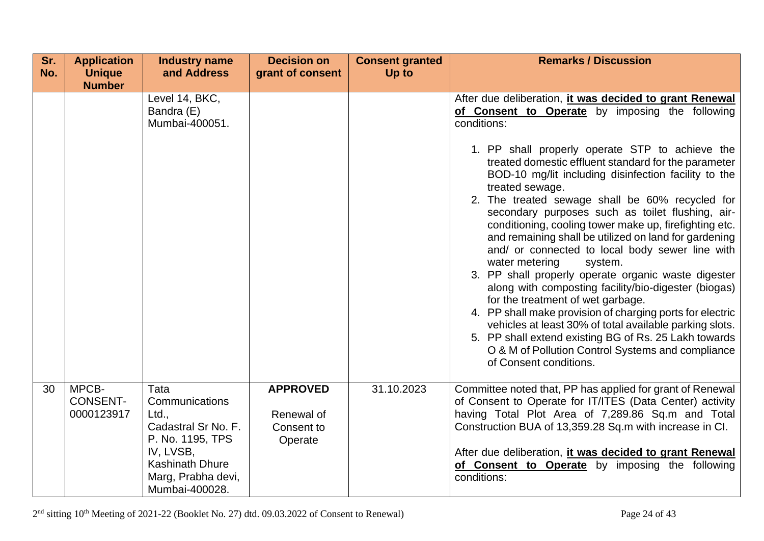| Sr.<br>No. | <b>Application</b><br><b>Unique</b>    | <b>Industry name</b><br>and Address                                                                                                                       | <b>Decision on</b><br>grant of consent                 | <b>Consent granted</b><br>Up to | <b>Remarks / Discussion</b>                                                                                                                                                                                                                                                                                                                                                                                                                                                                                                                                                                                                                                                                                                                                                                                                                                                                                                                                                                                                                   |
|------------|----------------------------------------|-----------------------------------------------------------------------------------------------------------------------------------------------------------|--------------------------------------------------------|---------------------------------|-----------------------------------------------------------------------------------------------------------------------------------------------------------------------------------------------------------------------------------------------------------------------------------------------------------------------------------------------------------------------------------------------------------------------------------------------------------------------------------------------------------------------------------------------------------------------------------------------------------------------------------------------------------------------------------------------------------------------------------------------------------------------------------------------------------------------------------------------------------------------------------------------------------------------------------------------------------------------------------------------------------------------------------------------|
|            | <b>Number</b>                          | Level 14, BKC,<br>Bandra (E)<br>Mumbai-400051.                                                                                                            |                                                        |                                 | After due deliberation, it was decided to grant Renewal<br>of Consent to Operate by imposing the following<br>conditions:<br>1. PP shall properly operate STP to achieve the<br>treated domestic effluent standard for the parameter<br>BOD-10 mg/lit including disinfection facility to the<br>treated sewage.<br>2. The treated sewage shall be 60% recycled for<br>secondary purposes such as toilet flushing, air-<br>conditioning, cooling tower make up, firefighting etc.<br>and remaining shall be utilized on land for gardening<br>and/ or connected to local body sewer line with<br>water metering<br>system.<br>3. PP shall properly operate organic waste digester<br>along with composting facility/bio-digester (biogas)<br>for the treatment of wet garbage.<br>4. PP shall make provision of charging ports for electric<br>vehicles at least 30% of total available parking slots.<br>5. PP shall extend existing BG of Rs. 25 Lakh towards<br>O & M of Pollution Control Systems and compliance<br>of Consent conditions. |
| 30         | MPCB-<br><b>CONSENT-</b><br>0000123917 | Tata<br>Communications<br>Ltd.,<br>Cadastral Sr No. F.<br>P. No. 1195, TPS<br>IV, LVSB,<br><b>Kashinath Dhure</b><br>Marg, Prabha devi,<br>Mumbai-400028. | <b>APPROVED</b><br>Renewal of<br>Consent to<br>Operate | 31.10.2023                      | Committee noted that, PP has applied for grant of Renewal<br>of Consent to Operate for IT/ITES (Data Center) activity<br>having Total Plot Area of 7,289.86 Sq.m and Total<br>Construction BUA of 13,359.28 Sq.m with increase in CI.<br>After due deliberation, it was decided to grant Renewal<br>of Consent to Operate by imposing the following<br>conditions:                                                                                                                                                                                                                                                                                                                                                                                                                                                                                                                                                                                                                                                                            |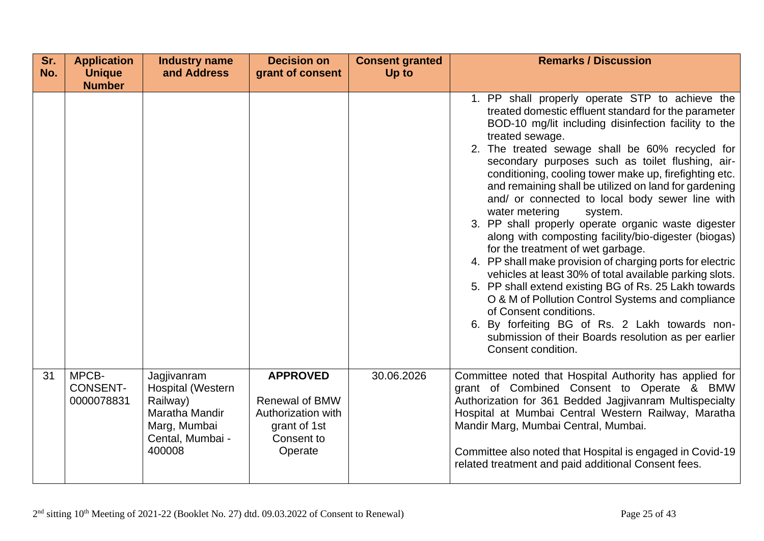| Sr.<br>No. | <b>Application</b><br><b>Unique</b>    | <b>Industry name</b><br>and Address                                                                          | <b>Decision on</b><br>grant of consent                                                                  | <b>Consent granted</b><br><b>Up to</b> | <b>Remarks / Discussion</b>                                                                                                                                                                                                                                                                                                                                                                                                                                                                                                                                                                                                                                                                                                                                                                                                                                                                                                                                                                                                                      |
|------------|----------------------------------------|--------------------------------------------------------------------------------------------------------------|---------------------------------------------------------------------------------------------------------|----------------------------------------|--------------------------------------------------------------------------------------------------------------------------------------------------------------------------------------------------------------------------------------------------------------------------------------------------------------------------------------------------------------------------------------------------------------------------------------------------------------------------------------------------------------------------------------------------------------------------------------------------------------------------------------------------------------------------------------------------------------------------------------------------------------------------------------------------------------------------------------------------------------------------------------------------------------------------------------------------------------------------------------------------------------------------------------------------|
|            | <b>Number</b>                          |                                                                                                              |                                                                                                         |                                        |                                                                                                                                                                                                                                                                                                                                                                                                                                                                                                                                                                                                                                                                                                                                                                                                                                                                                                                                                                                                                                                  |
|            |                                        |                                                                                                              |                                                                                                         |                                        | 1. PP shall properly operate STP to achieve the<br>treated domestic effluent standard for the parameter<br>BOD-10 mg/lit including disinfection facility to the<br>treated sewage.<br>2. The treated sewage shall be 60% recycled for<br>secondary purposes such as toilet flushing, air-<br>conditioning, cooling tower make up, firefighting etc.<br>and remaining shall be utilized on land for gardening<br>and/ or connected to local body sewer line with<br>water metering<br>system.<br>3. PP shall properly operate organic waste digester<br>along with composting facility/bio-digester (biogas)<br>for the treatment of wet garbage.<br>4. PP shall make provision of charging ports for electric<br>vehicles at least 30% of total available parking slots.<br>5. PP shall extend existing BG of Rs. 25 Lakh towards<br>O & M of Pollution Control Systems and compliance<br>of Consent conditions.<br>6. By forfeiting BG of Rs. 2 Lakh towards non-<br>submission of their Boards resolution as per earlier<br>Consent condition. |
| 31         | MPCB-<br><b>CONSENT-</b><br>0000078831 | Jagjivanram<br>Hospital (Western<br>Railway)<br>Maratha Mandir<br>Marg, Mumbai<br>Cental, Mumbai -<br>400008 | <b>APPROVED</b><br><b>Renewal of BMW</b><br>Authorization with<br>grant of 1st<br>Consent to<br>Operate | 30.06.2026                             | Committee noted that Hospital Authority has applied for<br>grant of Combined Consent to Operate & BMW<br>Authorization for 361 Bedded Jagjivanram Multispecialty<br>Hospital at Mumbai Central Western Railway, Maratha<br>Mandir Marg, Mumbai Central, Mumbai.<br>Committee also noted that Hospital is engaged in Covid-19<br>related treatment and paid additional Consent fees.                                                                                                                                                                                                                                                                                                                                                                                                                                                                                                                                                                                                                                                              |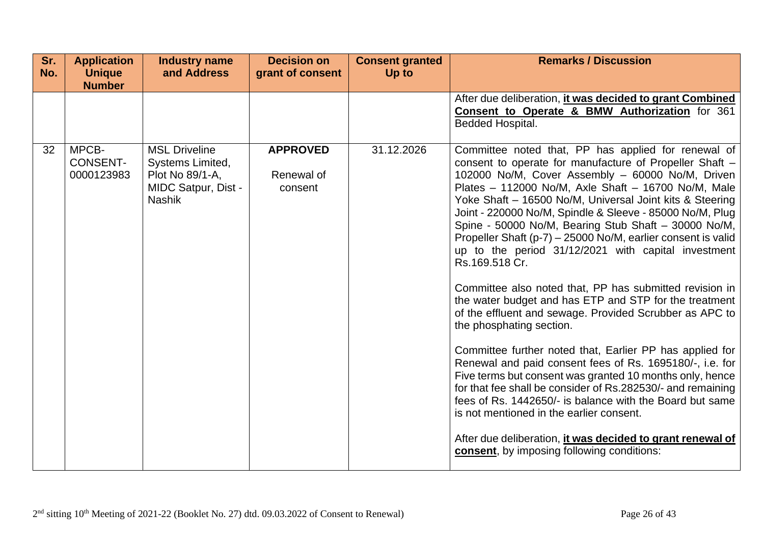| Sr.<br>No. | <b>Application</b><br><b>Unique</b><br><b>Number</b> | <b>Industry name</b><br>and Address                                                                        | <b>Decision on</b><br>grant of consent   | <b>Consent granted</b><br>Up to | <b>Remarks / Discussion</b>                                                                                                                                                                                                                                                                                                                                                                                                                                                                                                                                                                                                                                                                                                                                                                                                                                                                                                                                                                                                                                                                                                                                                                                                           |
|------------|------------------------------------------------------|------------------------------------------------------------------------------------------------------------|------------------------------------------|---------------------------------|---------------------------------------------------------------------------------------------------------------------------------------------------------------------------------------------------------------------------------------------------------------------------------------------------------------------------------------------------------------------------------------------------------------------------------------------------------------------------------------------------------------------------------------------------------------------------------------------------------------------------------------------------------------------------------------------------------------------------------------------------------------------------------------------------------------------------------------------------------------------------------------------------------------------------------------------------------------------------------------------------------------------------------------------------------------------------------------------------------------------------------------------------------------------------------------------------------------------------------------|
|            |                                                      |                                                                                                            |                                          |                                 | After due deliberation, it was decided to grant Combined<br>Consent to Operate & BMW Authorization for 361<br>Bedded Hospital.                                                                                                                                                                                                                                                                                                                                                                                                                                                                                                                                                                                                                                                                                                                                                                                                                                                                                                                                                                                                                                                                                                        |
| 32         | MPCB-<br><b>CONSENT-</b><br>0000123983               | <b>MSL Driveline</b><br>Systems Limited,<br>Plot No 89/1-A,<br><b>MIDC Satpur, Dist -</b><br><b>Nashik</b> | <b>APPROVED</b><br>Renewal of<br>consent | 31.12.2026                      | Committee noted that, PP has applied for renewal of<br>consent to operate for manufacture of Propeller Shaft -<br>102000 No/M, Cover Assembly - 60000 No/M, Driven<br>Plates - 112000 No/M, Axle Shaft - 16700 No/M, Male<br>Yoke Shaft - 16500 No/M, Universal Joint kits & Steering<br>Joint - 220000 No/M, Spindle & Sleeve - 85000 No/M, Plug<br>Spine - 50000 No/M, Bearing Stub Shaft - 30000 No/M,<br>Propeller Shaft (p-7) - 25000 No/M, earlier consent is valid<br>up to the period 31/12/2021 with capital investment<br>Rs.169.518 Cr.<br>Committee also noted that, PP has submitted revision in<br>the water budget and has ETP and STP for the treatment<br>of the effluent and sewage. Provided Scrubber as APC to<br>the phosphating section.<br>Committee further noted that, Earlier PP has applied for<br>Renewal and paid consent fees of Rs. 1695180/-, i.e. for<br>Five terms but consent was granted 10 months only, hence<br>for that fee shall be consider of Rs.282530/- and remaining<br>fees of Rs. 1442650/- is balance with the Board but same<br>is not mentioned in the earlier consent.<br>After due deliberation, it was decided to grant renewal of<br>consent, by imposing following conditions: |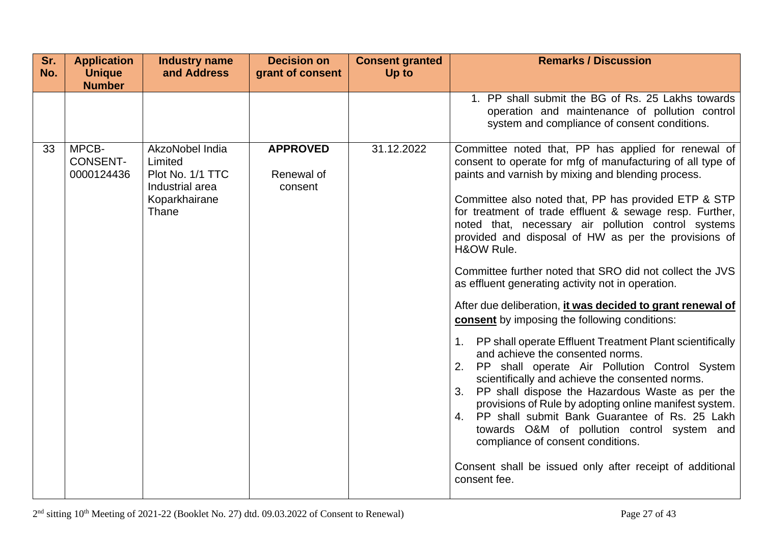| Sr.<br>No. | <b>Application</b><br><b>Unique</b><br><b>Number</b> | <b>Industry name</b><br>and Address                                                         | <b>Decision on</b><br>grant of consent   | <b>Consent granted</b><br>Up to | <b>Remarks / Discussion</b>                                                                                                                                                                                                                                                                                                                                                                                                                                                                                                                                                                                                                                                                                                                                                                                                                                                                                                                                                                                                                                                                                                                                                                                        |
|------------|------------------------------------------------------|---------------------------------------------------------------------------------------------|------------------------------------------|---------------------------------|--------------------------------------------------------------------------------------------------------------------------------------------------------------------------------------------------------------------------------------------------------------------------------------------------------------------------------------------------------------------------------------------------------------------------------------------------------------------------------------------------------------------------------------------------------------------------------------------------------------------------------------------------------------------------------------------------------------------------------------------------------------------------------------------------------------------------------------------------------------------------------------------------------------------------------------------------------------------------------------------------------------------------------------------------------------------------------------------------------------------------------------------------------------------------------------------------------------------|
|            |                                                      |                                                                                             |                                          |                                 | 1. PP shall submit the BG of Rs. 25 Lakhs towards<br>operation and maintenance of pollution control<br>system and compliance of consent conditions.                                                                                                                                                                                                                                                                                                                                                                                                                                                                                                                                                                                                                                                                                                                                                                                                                                                                                                                                                                                                                                                                |
| 33         | MPCB-<br><b>CONSENT-</b><br>0000124436               | AkzoNobel India<br>Limited<br>Plot No. 1/1 TTC<br>Industrial area<br>Koparkhairane<br>Thane | <b>APPROVED</b><br>Renewal of<br>consent | 31.12.2022                      | Committee noted that, PP has applied for renewal of<br>consent to operate for mfg of manufacturing of all type of<br>paints and varnish by mixing and blending process.<br>Committee also noted that, PP has provided ETP & STP<br>for treatment of trade effluent & sewage resp. Further,<br>noted that, necessary air pollution control systems<br>provided and disposal of HW as per the provisions of<br>H&OW Rule.<br>Committee further noted that SRO did not collect the JVS<br>as effluent generating activity not in operation.<br>After due deliberation, it was decided to grant renewal of<br><b>consent</b> by imposing the following conditions:<br>1. PP shall operate Effluent Treatment Plant scientifically<br>and achieve the consented norms.<br>PP shall operate Air Pollution Control System<br>2.<br>scientifically and achieve the consented norms.<br>PP shall dispose the Hazardous Waste as per the<br>3.<br>provisions of Rule by adopting online manifest system.<br>4. PP shall submit Bank Guarantee of Rs. 25 Lakh<br>towards O&M of pollution control system and<br>compliance of consent conditions.<br>Consent shall be issued only after receipt of additional<br>consent fee. |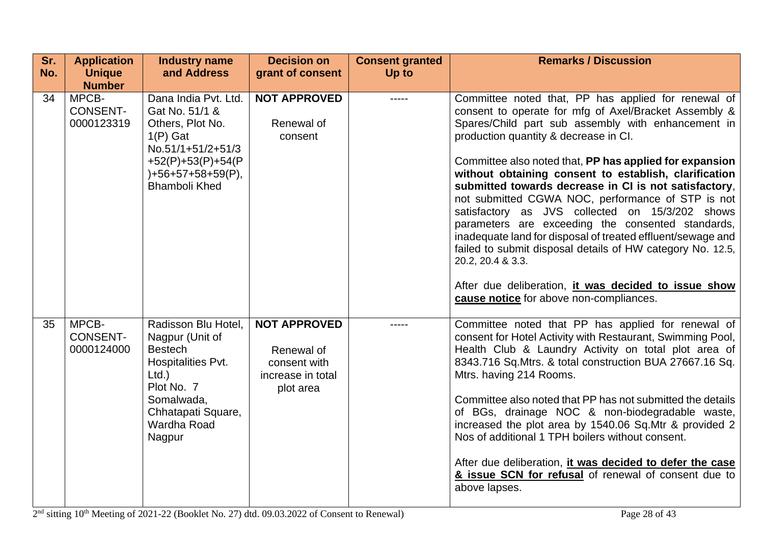| Sr.<br>No. | <b>Application</b><br><b>Unique</b>    | <b>Industry name</b><br>and Address                                                                                                                                   | <b>Decision on</b><br>grant of consent                                              | <b>Consent granted</b><br>Up to | <b>Remarks / Discussion</b>                                                                                                                                                                                                                                                                                                                                                                                                                                                                                                                                                                                                                                                                                                                                                                                |
|------------|----------------------------------------|-----------------------------------------------------------------------------------------------------------------------------------------------------------------------|-------------------------------------------------------------------------------------|---------------------------------|------------------------------------------------------------------------------------------------------------------------------------------------------------------------------------------------------------------------------------------------------------------------------------------------------------------------------------------------------------------------------------------------------------------------------------------------------------------------------------------------------------------------------------------------------------------------------------------------------------------------------------------------------------------------------------------------------------------------------------------------------------------------------------------------------------|
|            | <b>Number</b>                          |                                                                                                                                                                       |                                                                                     |                                 |                                                                                                                                                                                                                                                                                                                                                                                                                                                                                                                                                                                                                                                                                                                                                                                                            |
| 34         | MPCB-<br><b>CONSENT-</b><br>0000123319 | Dana India Pvt. Ltd.<br>Gat No. 51/1 &<br>Others, Plot No.<br>$1(P)$ Gat<br>No.51/1+51/2+51/3<br>$+52(P)+53(P)+54(P)$<br>)+56+57+58+59(P),<br><b>Bhamboli Khed</b>    | <b>NOT APPROVED</b><br>Renewal of<br>consent                                        |                                 | Committee noted that, PP has applied for renewal of<br>consent to operate for mfg of Axel/Bracket Assembly &<br>Spares/Child part sub assembly with enhancement in<br>production quantity & decrease in CI.<br>Committee also noted that, PP has applied for expansion<br>without obtaining consent to establish, clarification<br>submitted towards decrease in CI is not satisfactory,<br>not submitted CGWA NOC, performance of STP is not<br>satisfactory as JVS collected on 15/3/202 shows<br>parameters are exceeding the consented standards,<br>inadequate land for disposal of treated effluent/sewage and<br>failed to submit disposal details of HW category No. 12.5,<br>20.2, 20.4 & 3.3.<br>After due deliberation, it was decided to issue show<br>cause notice for above non-compliances. |
| 35         | MPCB-<br><b>CONSENT-</b><br>0000124000 | Radisson Blu Hotel,<br>Nagpur (Unit of<br><b>Bestech</b><br>Hospitalities Pvt.<br>$Ltd.$ )<br>Plot No. 7<br>Somalwada,<br>Chhatapati Square,<br>Wardha Road<br>Nagpur | <b>NOT APPROVED</b><br>Renewal of<br>consent with<br>increase in total<br>plot area |                                 | Committee noted that PP has applied for renewal of<br>consent for Hotel Activity with Restaurant, Swimming Pool,<br>Health Club & Laundry Activity on total plot area of<br>8343.716 Sq. Mtrs. & total construction BUA 27667.16 Sq.<br>Mtrs. having 214 Rooms.<br>Committee also noted that PP has not submitted the details<br>of BGs, drainage NOC & non-biodegradable waste,<br>increased the plot area by 1540.06 Sq.Mtr & provided 2<br>Nos of additional 1 TPH boilers without consent.<br>After due deliberation, it was decided to defer the case<br>& issue SCN for refusal of renewal of consent due to<br>above lapses.                                                                                                                                                                        |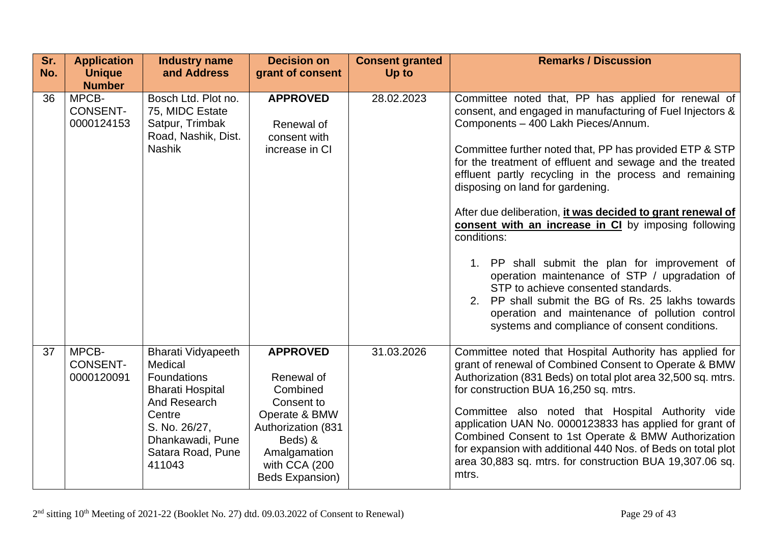| Sr.<br>No. | <b>Application</b><br><b>Unique</b><br><b>Number</b> | <b>Industry name</b><br>and Address                                                                                                                                                 | <b>Decision on</b><br>grant of consent                                                                                                                        | <b>Consent granted</b><br>Up to | <b>Remarks / Discussion</b>                                                                                                                                                                                                                                                                                                                                                                                                                                                                                                                                                                                                                                                                                                                                                                                         |
|------------|------------------------------------------------------|-------------------------------------------------------------------------------------------------------------------------------------------------------------------------------------|---------------------------------------------------------------------------------------------------------------------------------------------------------------|---------------------------------|---------------------------------------------------------------------------------------------------------------------------------------------------------------------------------------------------------------------------------------------------------------------------------------------------------------------------------------------------------------------------------------------------------------------------------------------------------------------------------------------------------------------------------------------------------------------------------------------------------------------------------------------------------------------------------------------------------------------------------------------------------------------------------------------------------------------|
| 36         | MPCB-<br><b>CONSENT-</b><br>0000124153               | Bosch Ltd. Plot no.<br>75, MIDC Estate<br>Satpur, Trimbak<br>Road, Nashik, Dist.<br><b>Nashik</b>                                                                                   | <b>APPROVED</b><br>Renewal of<br>consent with<br>increase in CI                                                                                               | 28.02.2023                      | Committee noted that, PP has applied for renewal of<br>consent, and engaged in manufacturing of Fuel Injectors &<br>Components - 400 Lakh Pieces/Annum.<br>Committee further noted that, PP has provided ETP & STP<br>for the treatment of effluent and sewage and the treated<br>effluent partly recycling in the process and remaining<br>disposing on land for gardening.<br>After due deliberation, it was decided to grant renewal of<br>consent with an increase in CI by imposing following<br>conditions:<br>1. PP shall submit the plan for improvement of<br>operation maintenance of STP / upgradation of<br>STP to achieve consented standards.<br>2. PP shall submit the BG of Rs. 25 lakhs towards<br>operation and maintenance of pollution control<br>systems and compliance of consent conditions. |
| 37         | MPCB-<br><b>CONSENT-</b><br>0000120091               | <b>Bharati Vidyapeeth</b><br>Medical<br><b>Foundations</b><br><b>Bharati Hospital</b><br>And Research<br>Centre<br>S. No. 26/27,<br>Dhankawadi, Pune<br>Satara Road, Pune<br>411043 | <b>APPROVED</b><br>Renewal of<br>Combined<br>Consent to<br>Operate & BMW<br>Authorization (831<br>Beds) &<br>Amalgamation<br>with CCA (200<br>Beds Expansion) | 31.03.2026                      | Committee noted that Hospital Authority has applied for<br>grant of renewal of Combined Consent to Operate & BMW<br>Authorization (831 Beds) on total plot area 32,500 sq. mtrs.<br>for construction BUA 16,250 sq. mtrs.<br>Committee also noted that Hospital Authority vide<br>application UAN No. 0000123833 has applied for grant of<br>Combined Consent to 1st Operate & BMW Authorization<br>for expansion with additional 440 Nos. of Beds on total plot<br>area 30,883 sq. mtrs. for construction BUA 19,307.06 sq.<br>mtrs.                                                                                                                                                                                                                                                                               |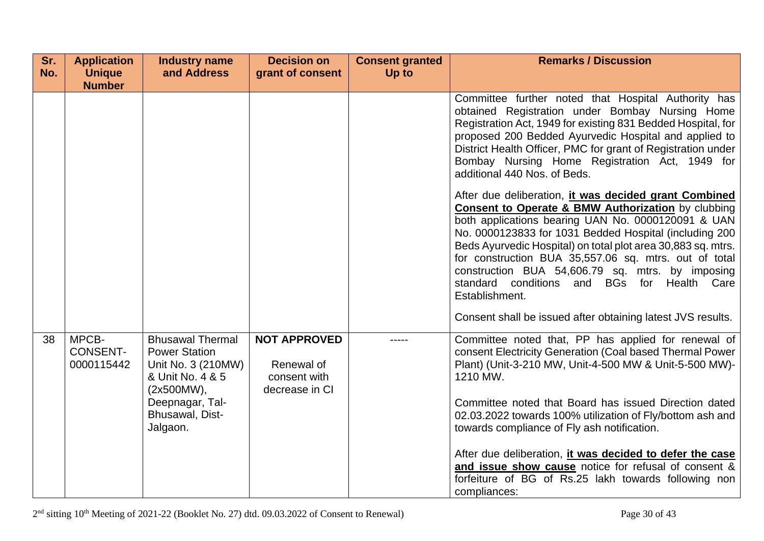| Sr.<br>No. | <b>Application</b><br><b>Unique</b>    | <b>Industry name</b><br>and Address                                                                                                                       | <b>Decision on</b><br>grant of consent                              | <b>Consent granted</b><br>Up to | <b>Remarks / Discussion</b>                                                                                                                                                                                                                                                                                                                                                                                                                                                                                                                                                                                                                                                                                                                                                                                                                                                                                                              |
|------------|----------------------------------------|-----------------------------------------------------------------------------------------------------------------------------------------------------------|---------------------------------------------------------------------|---------------------------------|------------------------------------------------------------------------------------------------------------------------------------------------------------------------------------------------------------------------------------------------------------------------------------------------------------------------------------------------------------------------------------------------------------------------------------------------------------------------------------------------------------------------------------------------------------------------------------------------------------------------------------------------------------------------------------------------------------------------------------------------------------------------------------------------------------------------------------------------------------------------------------------------------------------------------------------|
|            | <b>Number</b>                          |                                                                                                                                                           |                                                                     |                                 | Committee further noted that Hospital Authority has<br>obtained Registration under Bombay Nursing Home<br>Registration Act, 1949 for existing 831 Bedded Hospital, for<br>proposed 200 Bedded Ayurvedic Hospital and applied to<br>District Health Officer, PMC for grant of Registration under<br>Bombay Nursing Home Registration Act, 1949 for<br>additional 440 Nos. of Beds.<br>After due deliberation, it was decided grant Combined<br><b>Consent to Operate &amp; BMW Authorization</b> by clubbing<br>both applications bearing UAN No. 0000120091 & UAN<br>No. 0000123833 for 1031 Bedded Hospital (including 200<br>Beds Ayurvedic Hospital) on total plot area 30,883 sq. mtrs.<br>for construction BUA 35,557.06 sq. mtrs. out of total<br>construction BUA 54,606.79 sq. mtrs. by imposing<br>standard conditions and BGs for Health Care<br>Establishment.<br>Consent shall be issued after obtaining latest JVS results. |
| 38         | MPCB-<br><b>CONSENT-</b><br>0000115442 | <b>Bhusawal Thermal</b><br><b>Power Station</b><br>Unit No. 3 (210MW)<br>& Unit No. 4 & 5<br>(2x500MW),<br>Deepnagar, Tal-<br>Bhusawal, Dist-<br>Jalgaon. | <b>NOT APPROVED</b><br>Renewal of<br>consent with<br>decrease in CI | -----                           | Committee noted that, PP has applied for renewal of<br>consent Electricity Generation (Coal based Thermal Power<br>Plant) (Unit-3-210 MW, Unit-4-500 MW & Unit-5-500 MW)-<br>1210 MW.<br>Committee noted that Board has issued Direction dated<br>02.03.2022 towards 100% utilization of Fly/bottom ash and<br>towards compliance of Fly ash notification.<br>After due deliberation, it was decided to defer the case<br>and issue show cause notice for refusal of consent &<br>forfeiture of BG of Rs.25 lakh towards following non<br>compliances:                                                                                                                                                                                                                                                                                                                                                                                   |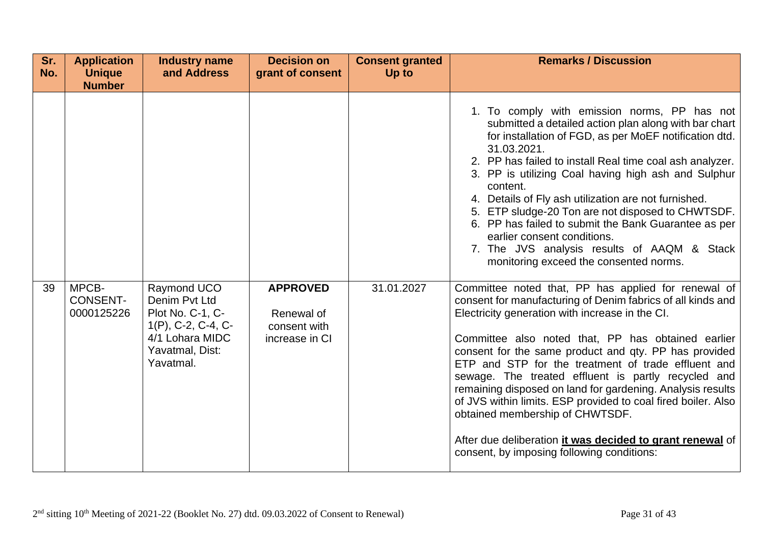| Sr.<br>No. | <b>Application</b><br><b>Unique</b><br><b>Number</b> | <b>Industry name</b><br>and Address                                                                                          | <b>Decision on</b><br>grant of consent                          | <b>Consent granted</b><br>Up to | <b>Remarks / Discussion</b>                                                                                                                                                                                                                                                                                                                                                                                                                                                                                                                                                                                                                                                                                                                                                                                                                                                                                                                                                                                                                                                                                                                                                                                                                                                                   |
|------------|------------------------------------------------------|------------------------------------------------------------------------------------------------------------------------------|-----------------------------------------------------------------|---------------------------------|-----------------------------------------------------------------------------------------------------------------------------------------------------------------------------------------------------------------------------------------------------------------------------------------------------------------------------------------------------------------------------------------------------------------------------------------------------------------------------------------------------------------------------------------------------------------------------------------------------------------------------------------------------------------------------------------------------------------------------------------------------------------------------------------------------------------------------------------------------------------------------------------------------------------------------------------------------------------------------------------------------------------------------------------------------------------------------------------------------------------------------------------------------------------------------------------------------------------------------------------------------------------------------------------------|
| 39         | MPCB-<br><b>CONSENT-</b><br>0000125226               | Raymond UCO<br>Denim Pvt Ltd<br>Plot No. C-1, C-<br>$1(P)$ , C-2, C-4, C-<br>4/1 Lohara MIDC<br>Yavatmal, Dist:<br>Yavatmal. | <b>APPROVED</b><br>Renewal of<br>consent with<br>increase in CI | 31.01.2027                      | 1. To comply with emission norms, PP has not<br>submitted a detailed action plan along with bar chart<br>for installation of FGD, as per MoEF notification dtd.<br>31.03.2021.<br>2. PP has failed to install Real time coal ash analyzer.<br>3. PP is utilizing Coal having high ash and Sulphur<br>content.<br>4. Details of Fly ash utilization are not furnished.<br>5. ETP sludge-20 Ton are not disposed to CHWTSDF.<br>6. PP has failed to submit the Bank Guarantee as per<br>earlier consent conditions.<br>7. The JVS analysis results of AAQM & Stack<br>monitoring exceed the consented norms.<br>Committee noted that, PP has applied for renewal of<br>consent for manufacturing of Denim fabrics of all kinds and<br>Electricity generation with increase in the CI.<br>Committee also noted that, PP has obtained earlier<br>consent for the same product and qty. PP has provided<br>ETP and STP for the treatment of trade effluent and<br>sewage. The treated effluent is partly recycled and<br>remaining disposed on land for gardening. Analysis results<br>of JVS within limits. ESP provided to coal fired boiler. Also<br>obtained membership of CHWTSDF.<br>After due deliberation it was decided to grant renewal of<br>consent, by imposing following conditions: |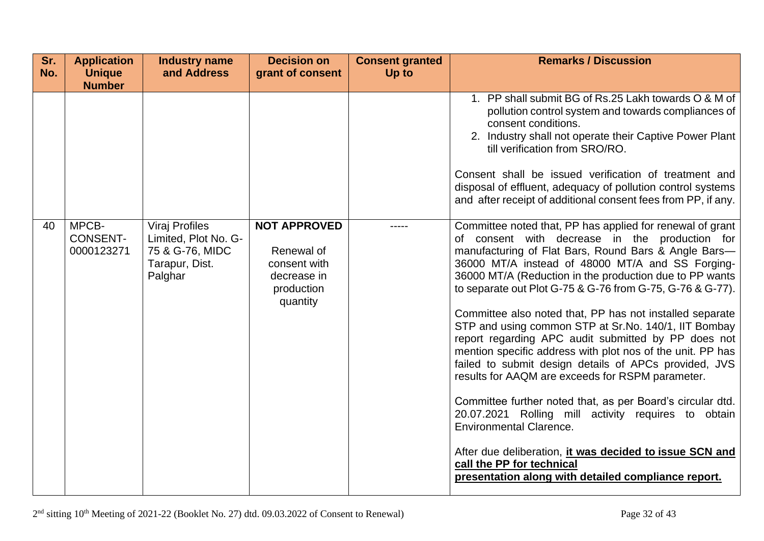| Sr.<br>No. | <b>Application</b><br><b>Unique</b>    | <b>Industry name</b><br>and Address                                                           | <b>Decision on</b><br>grant of consent                                                     | <b>Consent granted</b><br>Up to | <b>Remarks / Discussion</b>                                                                                                                                                                                                                                                                                                                                                                                                                                                                                                                                                                                                                                                                                                                                                                                                                                                                                                                                                                                 |
|------------|----------------------------------------|-----------------------------------------------------------------------------------------------|--------------------------------------------------------------------------------------------|---------------------------------|-------------------------------------------------------------------------------------------------------------------------------------------------------------------------------------------------------------------------------------------------------------------------------------------------------------------------------------------------------------------------------------------------------------------------------------------------------------------------------------------------------------------------------------------------------------------------------------------------------------------------------------------------------------------------------------------------------------------------------------------------------------------------------------------------------------------------------------------------------------------------------------------------------------------------------------------------------------------------------------------------------------|
|            | <b>Number</b>                          |                                                                                               |                                                                                            |                                 |                                                                                                                                                                                                                                                                                                                                                                                                                                                                                                                                                                                                                                                                                                                                                                                                                                                                                                                                                                                                             |
|            |                                        |                                                                                               |                                                                                            |                                 | 1. PP shall submit BG of Rs.25 Lakh towards O & M of<br>pollution control system and towards compliances of<br>consent conditions.<br>2. Industry shall not operate their Captive Power Plant<br>till verification from SRO/RO.<br>Consent shall be issued verification of treatment and<br>disposal of effluent, adequacy of pollution control systems<br>and after receipt of additional consent fees from PP, if any.                                                                                                                                                                                                                                                                                                                                                                                                                                                                                                                                                                                    |
| 40         | MPCB-<br><b>CONSENT-</b><br>0000123271 | <b>Viraj Profiles</b><br>Limited, Plot No. G-<br>75 & G-76, MIDC<br>Tarapur, Dist.<br>Palghar | <b>NOT APPROVED</b><br>Renewal of<br>consent with<br>decrease in<br>production<br>quantity | -----                           | Committee noted that, PP has applied for renewal of grant<br>of consent with decrease in the production for<br>manufacturing of Flat Bars, Round Bars & Angle Bars-<br>36000 MT/A instead of 48000 MT/A and SS Forging-<br>36000 MT/A (Reduction in the production due to PP wants<br>to separate out Plot G-75 & G-76 from G-75, G-76 & G-77).<br>Committee also noted that, PP has not installed separate<br>STP and using common STP at Sr.No. 140/1, IIT Bombay<br>report regarding APC audit submitted by PP does not<br>mention specific address with plot nos of the unit. PP has<br>failed to submit design details of APCs provided, JVS<br>results for AAQM are exceeds for RSPM parameter.<br>Committee further noted that, as per Board's circular dtd.<br>20.07.2021 Rolling mill activity requires to obtain<br><b>Environmental Clarence.</b><br>After due deliberation, it was decided to issue SCN and<br>call the PP for technical<br>presentation along with detailed compliance report. |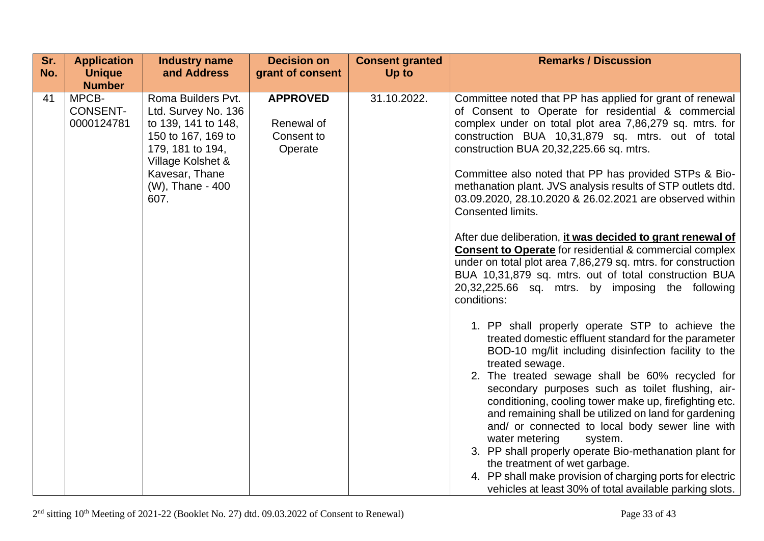| Sr. | <b>Application</b>                                      | <b>Industry name</b>                                                                                                                                                          | <b>Decision on</b>                                     | <b>Consent granted</b> | <b>Remarks / Discussion</b>                                                                                                                                                                                                                                                                                                                                                                                                                                                                                                                                                                                                                                                                                                                                                                                                                                                                                                                                                                                                                                                                                                                                                                                                                                                          |
|-----|---------------------------------------------------------|-------------------------------------------------------------------------------------------------------------------------------------------------------------------------------|--------------------------------------------------------|------------------------|--------------------------------------------------------------------------------------------------------------------------------------------------------------------------------------------------------------------------------------------------------------------------------------------------------------------------------------------------------------------------------------------------------------------------------------------------------------------------------------------------------------------------------------------------------------------------------------------------------------------------------------------------------------------------------------------------------------------------------------------------------------------------------------------------------------------------------------------------------------------------------------------------------------------------------------------------------------------------------------------------------------------------------------------------------------------------------------------------------------------------------------------------------------------------------------------------------------------------------------------------------------------------------------|
| No. | <b>Unique</b>                                           | and Address                                                                                                                                                                   | grant of consent                                       | Up to                  |                                                                                                                                                                                                                                                                                                                                                                                                                                                                                                                                                                                                                                                                                                                                                                                                                                                                                                                                                                                                                                                                                                                                                                                                                                                                                      |
| 41  | <b>Number</b><br>MPCB-<br><b>CONSENT-</b><br>0000124781 | Roma Builders Pvt.<br>Ltd. Survey No. 136<br>to 139, 141 to 148,<br>150 to 167, 169 to<br>179, 181 to 194,<br>Village Kolshet &<br>Kavesar, Thane<br>(W), Thane - 400<br>607. | <b>APPROVED</b><br>Renewal of<br>Consent to<br>Operate | 31.10.2022.            | Committee noted that PP has applied for grant of renewal<br>of Consent to Operate for residential & commercial<br>complex under on total plot area 7,86,279 sq. mtrs. for<br>construction BUA 10,31,879 sq. mtrs. out of total<br>construction BUA 20,32,225.66 sq. mtrs.<br>Committee also noted that PP has provided STPs & Bio-<br>methanation plant. JVS analysis results of STP outlets dtd.<br>03.09.2020, 28.10.2020 & 26.02.2021 are observed within<br>Consented limits.<br>After due deliberation, it was decided to grant renewal of<br><b>Consent to Operate for residential &amp; commercial complex</b><br>under on total plot area 7,86,279 sq. mtrs. for construction<br>BUA 10,31,879 sq. mtrs. out of total construction BUA<br>20,32,225.66 sq. mtrs. by imposing the following<br>conditions:<br>1. PP shall properly operate STP to achieve the<br>treated domestic effluent standard for the parameter<br>BOD-10 mg/lit including disinfection facility to the<br>treated sewage.<br>2. The treated sewage shall be 60% recycled for<br>secondary purposes such as toilet flushing, air-<br>conditioning, cooling tower make up, firefighting etc.<br>and remaining shall be utilized on land for gardening<br>and/ or connected to local body sewer line with |
|     |                                                         |                                                                                                                                                                               |                                                        |                        | water metering<br>system.<br>3. PP shall properly operate Bio-methanation plant for<br>the treatment of wet garbage.<br>4. PP shall make provision of charging ports for electric<br>vehicles at least 30% of total available parking slots.                                                                                                                                                                                                                                                                                                                                                                                                                                                                                                                                                                                                                                                                                                                                                                                                                                                                                                                                                                                                                                         |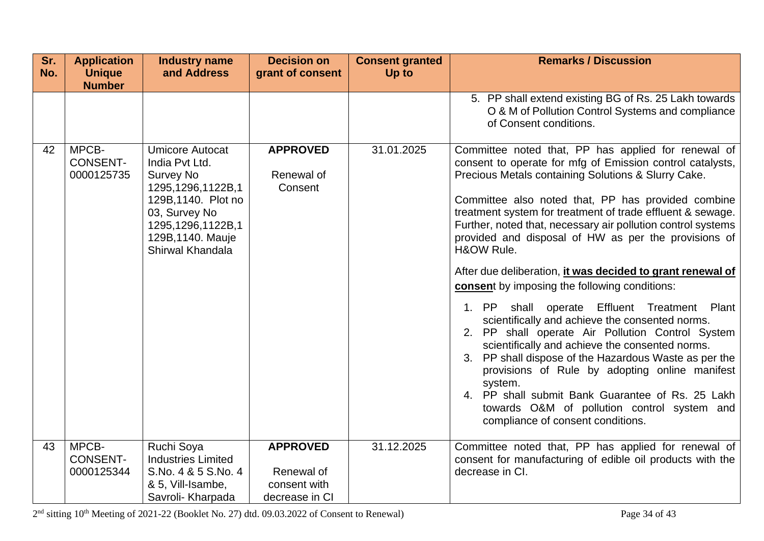| Sr.<br>No. | <b>Application</b><br><b>Unique</b>    | <b>Industry name</b><br>and Address                                                                                                                                                     | <b>Decision on</b><br>grant of consent   | <b>Consent granted</b><br>Up to | <b>Remarks / Discussion</b>                                                                                                                                                                                                                                                                                                                                                                                                                                                                                                                                                                                                                                                                                                                                                                                                                                                                                                                                                                                                 |
|------------|----------------------------------------|-----------------------------------------------------------------------------------------------------------------------------------------------------------------------------------------|------------------------------------------|---------------------------------|-----------------------------------------------------------------------------------------------------------------------------------------------------------------------------------------------------------------------------------------------------------------------------------------------------------------------------------------------------------------------------------------------------------------------------------------------------------------------------------------------------------------------------------------------------------------------------------------------------------------------------------------------------------------------------------------------------------------------------------------------------------------------------------------------------------------------------------------------------------------------------------------------------------------------------------------------------------------------------------------------------------------------------|
|            | <b>Number</b>                          |                                                                                                                                                                                         |                                          |                                 |                                                                                                                                                                                                                                                                                                                                                                                                                                                                                                                                                                                                                                                                                                                                                                                                                                                                                                                                                                                                                             |
|            |                                        |                                                                                                                                                                                         |                                          |                                 | 5. PP shall extend existing BG of Rs. 25 Lakh towards<br>O & M of Pollution Control Systems and compliance<br>of Consent conditions.                                                                                                                                                                                                                                                                                                                                                                                                                                                                                                                                                                                                                                                                                                                                                                                                                                                                                        |
| 42         | MPCB-<br><b>CONSENT-</b><br>0000125735 | <b>Umicore Autocat</b><br>India Pvt Ltd.<br><b>Survey No</b><br>1295,1296,1122B,1<br>129B, 1140. Plot no<br>03, Survey No<br>1295,1296,1122B,1<br>129B, 1140. Mauje<br>Shirwal Khandala | <b>APPROVED</b><br>Renewal of<br>Consent | 31.01.2025                      | Committee noted that, PP has applied for renewal of<br>consent to operate for mfg of Emission control catalysts,<br>Precious Metals containing Solutions & Slurry Cake.<br>Committee also noted that, PP has provided combine<br>treatment system for treatment of trade effluent & sewage.<br>Further, noted that, necessary air pollution control systems<br>provided and disposal of HW as per the provisions of<br>H&OW Rule.<br>After due deliberation, it was decided to grant renewal of<br>consent by imposing the following conditions:<br>shall operate Effluent Treatment Plant<br>1. PP<br>scientifically and achieve the consented norms.<br>2. PP shall operate Air Pollution Control System<br>scientifically and achieve the consented norms.<br>3. PP shall dispose of the Hazardous Waste as per the<br>provisions of Rule by adopting online manifest<br>system.<br>4. PP shall submit Bank Guarantee of Rs. 25 Lakh<br>towards O&M of pollution control system and<br>compliance of consent conditions. |
| 43         | MPCB-                                  | Ruchi Soya                                                                                                                                                                              | <b>APPROVED</b>                          | 31.12.2025                      | Committee noted that, PP has applied for renewal of                                                                                                                                                                                                                                                                                                                                                                                                                                                                                                                                                                                                                                                                                                                                                                                                                                                                                                                                                                         |
|            | <b>CONSENT-</b>                        | <b>Industries Limited</b>                                                                                                                                                               |                                          |                                 | consent for manufacturing of edible oil products with the                                                                                                                                                                                                                                                                                                                                                                                                                                                                                                                                                                                                                                                                                                                                                                                                                                                                                                                                                                   |
|            | 0000125344                             | S.No. 4 & 5 S.No. 4<br>& 5, Vill-Isambe,                                                                                                                                                | Renewal of<br>consent with               |                                 | decrease in CI.                                                                                                                                                                                                                                                                                                                                                                                                                                                                                                                                                                                                                                                                                                                                                                                                                                                                                                                                                                                                             |
|            |                                        | Savroli- Kharpada                                                                                                                                                                       | decrease in CI                           |                                 |                                                                                                                                                                                                                                                                                                                                                                                                                                                                                                                                                                                                                                                                                                                                                                                                                                                                                                                                                                                                                             |

 $2<sup>nd</sup>$  sitting  $10<sup>th</sup>$  Meeting of 2021-22 (Booklet No. 27) dtd. 09.03.2022 of Consent to Renewal) Page 34 of 43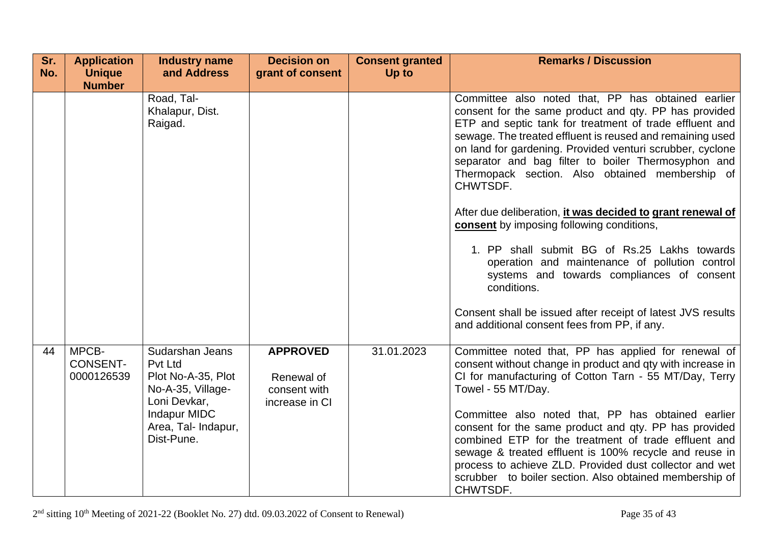| Sr.<br>No. | <b>Application</b><br><b>Unique</b>    | <b>Industry name</b><br>and Address                                                   | <b>Decision on</b><br>grant of consent                          | <b>Consent granted</b><br>Up to | <b>Remarks / Discussion</b>                                                                                                                                                                                                                                                                                                                                                                                            |
|------------|----------------------------------------|---------------------------------------------------------------------------------------|-----------------------------------------------------------------|---------------------------------|------------------------------------------------------------------------------------------------------------------------------------------------------------------------------------------------------------------------------------------------------------------------------------------------------------------------------------------------------------------------------------------------------------------------|
|            | <b>Number</b>                          |                                                                                       |                                                                 |                                 |                                                                                                                                                                                                                                                                                                                                                                                                                        |
|            |                                        | Road, Tal-<br>Khalapur, Dist.<br>Raigad.                                              |                                                                 |                                 | Committee also noted that, PP has obtained earlier<br>consent for the same product and qty. PP has provided<br>ETP and septic tank for treatment of trade effluent and<br>sewage. The treated effluent is reused and remaining used<br>on land for gardening. Provided venturi scrubber, cyclone<br>separator and bag filter to boiler Thermosyphon and<br>Thermopack section. Also obtained membership of<br>CHWTSDF. |
|            |                                        |                                                                                       |                                                                 |                                 | After due deliberation, it was decided to grant renewal of<br>consent by imposing following conditions,                                                                                                                                                                                                                                                                                                                |
|            |                                        |                                                                                       |                                                                 |                                 | 1. PP shall submit BG of Rs.25 Lakhs towards<br>operation and maintenance of pollution control<br>systems and towards compliances of consent<br>conditions.                                                                                                                                                                                                                                                            |
|            |                                        |                                                                                       |                                                                 |                                 | Consent shall be issued after receipt of latest JVS results<br>and additional consent fees from PP, if any.                                                                                                                                                                                                                                                                                                            |
| 44         | MPCB-<br><b>CONSENT-</b><br>0000126539 | Sudarshan Jeans<br>Pvt Ltd<br>Plot No-A-35, Plot<br>No-A-35, Village-<br>Loni Devkar, | <b>APPROVED</b><br>Renewal of<br>consent with<br>increase in CI | 31.01.2023                      | Committee noted that, PP has applied for renewal of<br>consent without change in product and qty with increase in<br>CI for manufacturing of Cotton Tarn - 55 MT/Day, Terry<br>Towel - 55 MT/Day.                                                                                                                                                                                                                      |
|            |                                        | <b>Indapur MIDC</b><br>Area, Tal- Indapur,<br>Dist-Pune.                              |                                                                 |                                 | Committee also noted that, PP has obtained earlier<br>consent for the same product and qty. PP has provided<br>combined ETP for the treatment of trade effluent and<br>sewage & treated effluent is 100% recycle and reuse in<br>process to achieve ZLD. Provided dust collector and wet<br>scrubber to boiler section. Also obtained membership of<br>CHWTSDF.                                                        |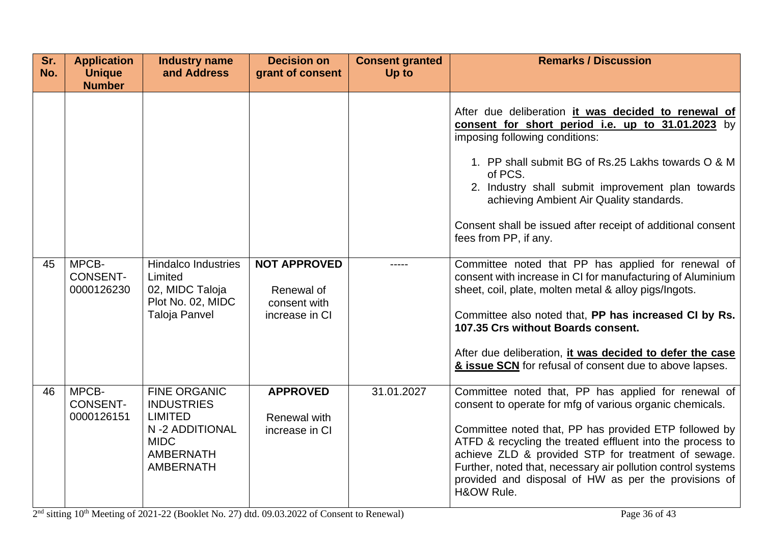| Sr.<br>No. | <b>Application</b><br><b>Unique</b><br><b>Number</b> | <b>Industry name</b><br>and Address                                                                                                 | <b>Decision on</b><br>grant of consent                              | <b>Consent granted</b><br>Up to | <b>Remarks / Discussion</b>                                                                                                                                                                                                                                                                                                                                                                                                        |
|------------|------------------------------------------------------|-------------------------------------------------------------------------------------------------------------------------------------|---------------------------------------------------------------------|---------------------------------|------------------------------------------------------------------------------------------------------------------------------------------------------------------------------------------------------------------------------------------------------------------------------------------------------------------------------------------------------------------------------------------------------------------------------------|
|            |                                                      |                                                                                                                                     |                                                                     |                                 | After due deliberation it was decided to renewal of<br>consent for short period i.e. up to 31.01.2023 by<br>imposing following conditions:<br>1. PP shall submit BG of Rs.25 Lakhs towards O & M<br>of PCS.<br>2. Industry shall submit improvement plan towards<br>achieving Ambient Air Quality standards.<br>Consent shall be issued after receipt of additional consent<br>fees from PP, if any.                               |
| 45         | MPCB-<br><b>CONSENT-</b><br>0000126230               | <b>Hindalco Industries</b><br>Limited<br>02, MIDC Taloja<br>Plot No. 02, MIDC<br><b>Taloja Panvel</b>                               | <b>NOT APPROVED</b><br>Renewal of<br>consent with<br>increase in CI |                                 | Committee noted that PP has applied for renewal of<br>consent with increase in CI for manufacturing of Aluminium<br>sheet, coil, plate, molten metal & alloy pigs/Ingots.<br>Committee also noted that, PP has increased CI by Rs.<br>107.35 Crs without Boards consent.<br>After due deliberation, it was decided to defer the case<br>& issue SCN for refusal of consent due to above lapses.                                    |
| 46         | MPCB-<br><b>CONSENT-</b><br>0000126151               | <b>FINE ORGANIC</b><br><b>INDUSTRIES</b><br><b>LIMITED</b><br>N-2 ADDITIONAL<br><b>MIDC</b><br><b>AMBERNATH</b><br><b>AMBERNATH</b> | <b>APPROVED</b><br>Renewal with<br>increase in CI                   | 31.01.2027                      | Committee noted that, PP has applied for renewal of<br>consent to operate for mfg of various organic chemicals.<br>Committee noted that, PP has provided ETP followed by<br>ATFD & recycling the treated effluent into the process to<br>achieve ZLD & provided STP for treatment of sewage.<br>Further, noted that, necessary air pollution control systems<br>provided and disposal of HW as per the provisions of<br>H&OW Rule. |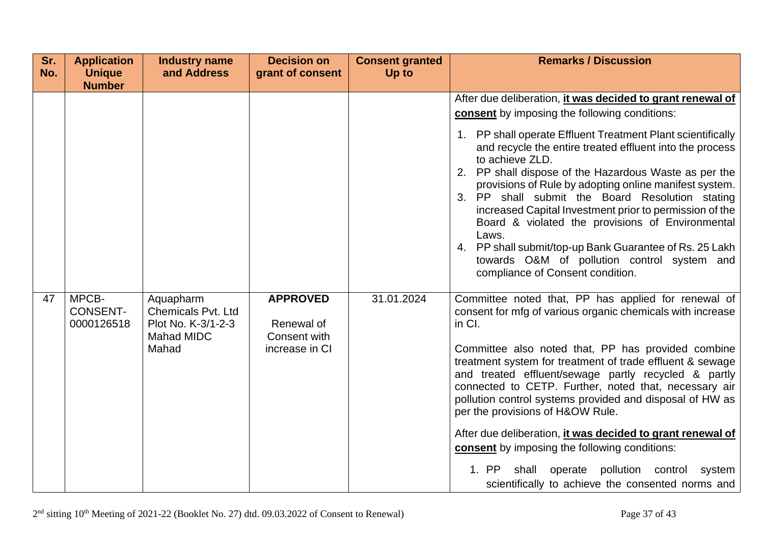| Sr.<br>No. | <b>Application</b><br><b>Unique</b><br><b>Number</b> | <b>Industry name</b><br>and Address                                                        | <b>Decision on</b><br>grant of consent                          | <b>Consent granted</b><br>Up to | <b>Remarks / Discussion</b>                                                                                                                                                                                                                                                                                                                                                                                                                                                                                                                                                                                                                                                                                  |
|------------|------------------------------------------------------|--------------------------------------------------------------------------------------------|-----------------------------------------------------------------|---------------------------------|--------------------------------------------------------------------------------------------------------------------------------------------------------------------------------------------------------------------------------------------------------------------------------------------------------------------------------------------------------------------------------------------------------------------------------------------------------------------------------------------------------------------------------------------------------------------------------------------------------------------------------------------------------------------------------------------------------------|
|            | MPCB-                                                |                                                                                            |                                                                 |                                 | After due deliberation, it was decided to grant renewal of<br><b>consent</b> by imposing the following conditions:<br>1. PP shall operate Effluent Treatment Plant scientifically<br>and recycle the entire treated effluent into the process<br>to achieve ZLD.<br>2. PP shall dispose of the Hazardous Waste as per the<br>provisions of Rule by adopting online manifest system.<br>3. PP shall submit the Board Resolution stating<br>increased Capital Investment prior to permission of the<br>Board & violated the provisions of Environmental<br>Laws.<br>4. PP shall submit/top-up Bank Guarantee of Rs. 25 Lakh<br>towards O&M of pollution control system and<br>compliance of Consent condition. |
| 47         | <b>CONSENT-</b><br>0000126518                        | Aquapharm<br><b>Chemicals Pvt. Ltd</b><br>Plot No. K-3/1-2-3<br><b>Mahad MIDC</b><br>Mahad | <b>APPROVED</b><br>Renewal of<br>Consent with<br>increase in CI | 31.01.2024                      | Committee noted that, PP has applied for renewal of<br>consent for mfg of various organic chemicals with increase<br>in Cl.<br>Committee also noted that, PP has provided combine<br>treatment system for treatment of trade effluent & sewage<br>and treated effluent/sewage partly recycled & partly<br>connected to CETP. Further, noted that, necessary air<br>pollution control systems provided and disposal of HW as<br>per the provisions of H&OW Rule.<br>After due deliberation, it was decided to grant renewal of<br>consent by imposing the following conditions:<br>1. PP<br>shall operate pollution control<br>system<br>scientifically to achieve the consented norms and                    |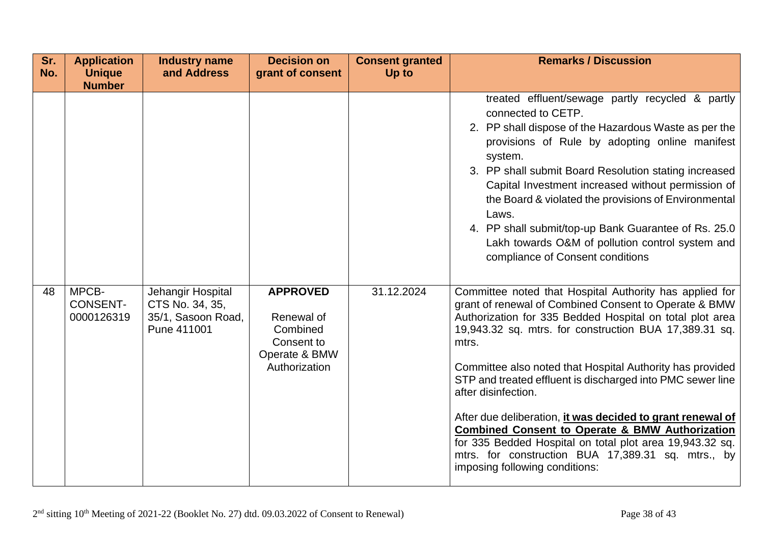| Sr.<br>No. | <b>Application</b><br><b>Unique</b><br><b>Number</b> | <b>Industry name</b><br>and Address                  | <b>Decision on</b><br>grant of consent                                 | <b>Consent granted</b><br>Up to | <b>Remarks / Discussion</b>                                                                                                                                                                                                                                                                                                                                                                                                                                                                                                                                                                                            |
|------------|------------------------------------------------------|------------------------------------------------------|------------------------------------------------------------------------|---------------------------------|------------------------------------------------------------------------------------------------------------------------------------------------------------------------------------------------------------------------------------------------------------------------------------------------------------------------------------------------------------------------------------------------------------------------------------------------------------------------------------------------------------------------------------------------------------------------------------------------------------------------|
| 48         | MPCB-                                                | Jehangir Hospital                                    | <b>APPROVED</b>                                                        | 31.12.2024                      | treated effluent/sewage partly recycled & partly<br>connected to CETP.<br>2. PP shall dispose of the Hazardous Waste as per the<br>provisions of Rule by adopting online manifest<br>system.<br>3. PP shall submit Board Resolution stating increased<br>Capital Investment increased without permission of<br>the Board & violated the provisions of Environmental<br>Laws.<br>4. PP shall submit/top-up Bank Guarantee of Rs. 25.0<br>Lakh towards O&M of pollution control system and<br>compliance of Consent conditions<br>Committee noted that Hospital Authority has applied for                                |
|            | <b>CONSENT-</b><br>0000126319                        | CTS No. 34, 35,<br>35/1, Sasoon Road,<br>Pune 411001 | Renewal of<br>Combined<br>Consent to<br>Operate & BMW<br>Authorization |                                 | grant of renewal of Combined Consent to Operate & BMW<br>Authorization for 335 Bedded Hospital on total plot area<br>19,943.32 sq. mtrs. for construction BUA 17,389.31 sq.<br>mtrs.<br>Committee also noted that Hospital Authority has provided<br>STP and treated effluent is discharged into PMC sewer line<br>after disinfection.<br>After due deliberation, it was decided to grant renewal of<br><b>Combined Consent to Operate &amp; BMW Authorization</b><br>for 335 Bedded Hospital on total plot area 19,943.32 sq.<br>mtrs. for construction BUA 17,389.31 sq. mtrs., by<br>imposing following conditions: |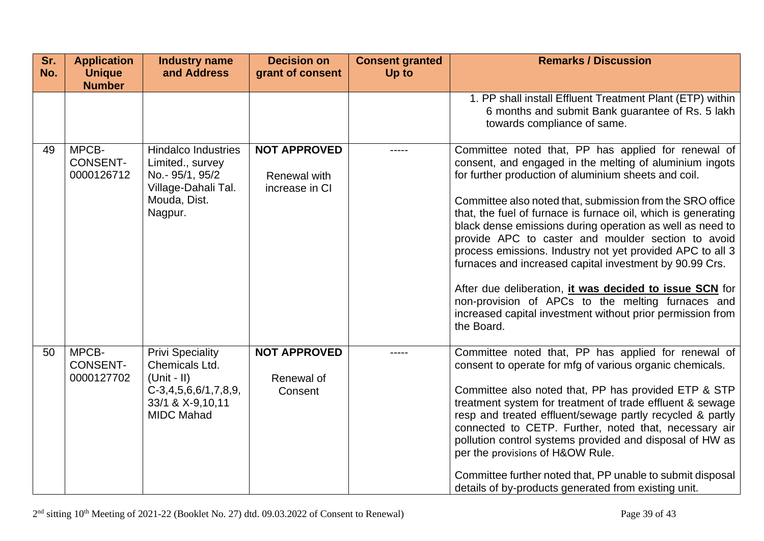| Sr.<br>No. | <b>Application</b><br><b>Unique</b><br><b>Number</b> | <b>Industry name</b><br>and Address                                                                                           | <b>Decision on</b><br>grant of consent                | <b>Consent granted</b><br>Up to | <b>Remarks / Discussion</b>                                                                                                                                                                                                                                                                                                                                                                                                                                                                                                                                                                                                                                                                                                                 |
|------------|------------------------------------------------------|-------------------------------------------------------------------------------------------------------------------------------|-------------------------------------------------------|---------------------------------|---------------------------------------------------------------------------------------------------------------------------------------------------------------------------------------------------------------------------------------------------------------------------------------------------------------------------------------------------------------------------------------------------------------------------------------------------------------------------------------------------------------------------------------------------------------------------------------------------------------------------------------------------------------------------------------------------------------------------------------------|
|            |                                                      |                                                                                                                               |                                                       |                                 | 1. PP shall install Effluent Treatment Plant (ETP) within<br>6 months and submit Bank guarantee of Rs. 5 lakh<br>towards compliance of same.                                                                                                                                                                                                                                                                                                                                                                                                                                                                                                                                                                                                |
| 49         | MPCB-<br><b>CONSENT-</b><br>0000126712               | <b>Hindalco Industries</b><br>Limited., survey<br>No.- 95/1, 95/2<br>Village-Dahali Tal.<br>Mouda, Dist.<br>Nagpur.           | <b>NOT APPROVED</b><br>Renewal with<br>increase in CI | -----                           | Committee noted that, PP has applied for renewal of<br>consent, and engaged in the melting of aluminium ingots<br>for further production of aluminium sheets and coil.<br>Committee also noted that, submission from the SRO office<br>that, the fuel of furnace is furnace oil, which is generating<br>black dense emissions during operation as well as need to<br>provide APC to caster and moulder section to avoid<br>process emissions. Industry not yet provided APC to all 3<br>furnaces and increased capital investment by 90.99 Crs.<br>After due deliberation, it was decided to issue SCN for<br>non-provision of APCs to the melting furnaces and<br>increased capital investment without prior permission from<br>the Board. |
| 50         | MPCB-<br><b>CONSENT-</b><br>0000127702               | <b>Privi Speciality</b><br>Chemicals Ltd.<br>$(Unit - II)$<br>$C-3,4,5,6,6/1,7,8,9,$<br>33/1 & X-9,10,11<br><b>MIDC Mahad</b> | <b>NOT APPROVED</b><br>Renewal of<br>Consent          |                                 | Committee noted that, PP has applied for renewal of<br>consent to operate for mfg of various organic chemicals.<br>Committee also noted that, PP has provided ETP & STP<br>treatment system for treatment of trade effluent & sewage<br>resp and treated effluent/sewage partly recycled & partly<br>connected to CETP. Further, noted that, necessary air<br>pollution control systems provided and disposal of HW as<br>per the provisions of H&OW Rule.<br>Committee further noted that, PP unable to submit disposal<br>details of by-products generated from existing unit.                                                                                                                                                            |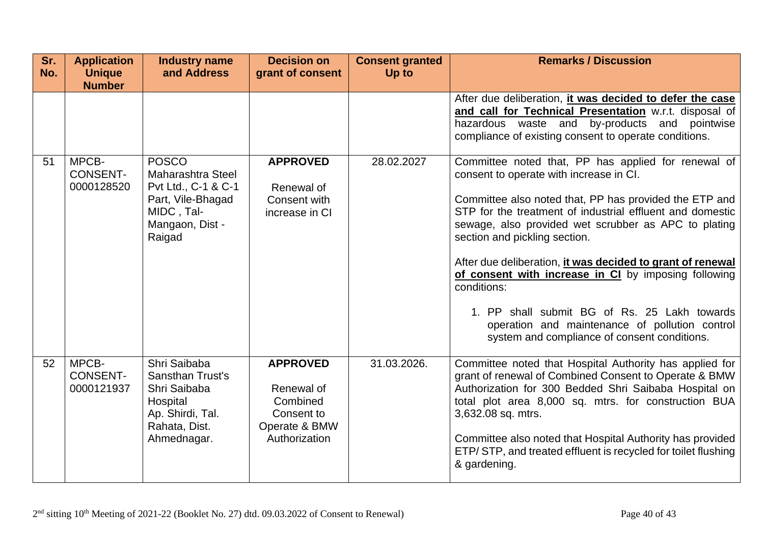| Sr.<br>No. | <b>Application</b><br><b>Unique</b>    | <b>Industry name</b><br>and Address                                                                                             | <b>Decision on</b><br>grant of consent                                                    | <b>Consent granted</b><br>Up to | <b>Remarks / Discussion</b>                                                                                                                                                                                                                                                                                                                                                                                                                                                                                                                                                                           |
|------------|----------------------------------------|---------------------------------------------------------------------------------------------------------------------------------|-------------------------------------------------------------------------------------------|---------------------------------|-------------------------------------------------------------------------------------------------------------------------------------------------------------------------------------------------------------------------------------------------------------------------------------------------------------------------------------------------------------------------------------------------------------------------------------------------------------------------------------------------------------------------------------------------------------------------------------------------------|
|            | <b>Number</b>                          |                                                                                                                                 |                                                                                           |                                 |                                                                                                                                                                                                                                                                                                                                                                                                                                                                                                                                                                                                       |
|            |                                        |                                                                                                                                 |                                                                                           |                                 | After due deliberation, it was decided to defer the case<br>and call for Technical Presentation w.r.t. disposal of<br>hazardous waste and<br>by-products and<br>pointwise<br>compliance of existing consent to operate conditions.                                                                                                                                                                                                                                                                                                                                                                    |
| 51         | MPCB-<br><b>CONSENT-</b><br>0000128520 | <b>POSCO</b><br><b>Maharashtra Steel</b><br>Pvt Ltd., C-1 & C-1<br>Part, Vile-Bhagad<br>MIDC, Tal-<br>Mangaon, Dist -<br>Raigad | <b>APPROVED</b><br>Renewal of<br>Consent with<br>increase in CI                           | 28.02.2027                      | Committee noted that, PP has applied for renewal of<br>consent to operate with increase in CI.<br>Committee also noted that, PP has provided the ETP and<br>STP for the treatment of industrial effluent and domestic<br>sewage, also provided wet scrubber as APC to plating<br>section and pickling section.<br>After due deliberation, it was decided to grant of renewal<br>of consent with increase in CI by imposing following<br>conditions:<br>1. PP shall submit BG of Rs. 25 Lakh towards<br>operation and maintenance of pollution control<br>system and compliance of consent conditions. |
| 52         | MPCB-<br><b>CONSENT-</b><br>0000121937 | Shri Saibaba<br><b>Sansthan Trust's</b><br>Shri Saibaba<br>Hospital<br>Ap. Shirdi, Tal.<br>Rahata, Dist.<br>Ahmednagar.         | <b>APPROVED</b><br>Renewal of<br>Combined<br>Consent to<br>Operate & BMW<br>Authorization | 31.03.2026.                     | Committee noted that Hospital Authority has applied for<br>grant of renewal of Combined Consent to Operate & BMW<br>Authorization for 300 Bedded Shri Saibaba Hospital on<br>total plot area 8,000 sq. mtrs. for construction BUA<br>3,632.08 sq. mtrs.<br>Committee also noted that Hospital Authority has provided<br>ETP/STP, and treated effluent is recycled for toilet flushing<br>& gardening.                                                                                                                                                                                                 |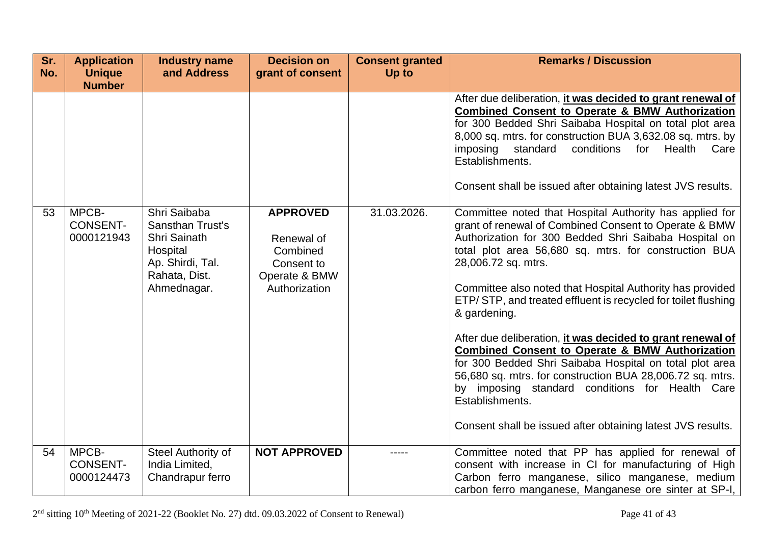| Sr.<br>No. | <b>Application</b><br><b>Unique</b>    | <b>Industry name</b><br>and Address                                                                                     | <b>Decision on</b><br>grant of consent                                                    | <b>Consent granted</b><br>Up to | <b>Remarks / Discussion</b>                                                                                                                                                                                                                                                                                                                                                                                                                                                                                                                                                                                                                                                                                                       |
|------------|----------------------------------------|-------------------------------------------------------------------------------------------------------------------------|-------------------------------------------------------------------------------------------|---------------------------------|-----------------------------------------------------------------------------------------------------------------------------------------------------------------------------------------------------------------------------------------------------------------------------------------------------------------------------------------------------------------------------------------------------------------------------------------------------------------------------------------------------------------------------------------------------------------------------------------------------------------------------------------------------------------------------------------------------------------------------------|
|            | <b>Number</b>                          |                                                                                                                         |                                                                                           |                                 |                                                                                                                                                                                                                                                                                                                                                                                                                                                                                                                                                                                                                                                                                                                                   |
|            |                                        |                                                                                                                         |                                                                                           |                                 | After due deliberation, it was decided to grant renewal of<br><b>Combined Consent to Operate &amp; BMW Authorization</b><br>for 300 Bedded Shri Saibaba Hospital on total plot area<br>8,000 sq. mtrs. for construction BUA 3,632.08 sq. mtrs. by<br>imposing<br>standard<br>conditions<br>Health Care<br>for<br>Establishments.<br>Consent shall be issued after obtaining latest JVS results.                                                                                                                                                                                                                                                                                                                                   |
| 53         | MPCB-<br><b>CONSENT-</b><br>0000121943 | Shri Saibaba<br><b>Sansthan Trust's</b><br>Shri Sainath<br>Hospital<br>Ap. Shirdi, Tal.<br>Rahata, Dist.<br>Ahmednagar. | <b>APPROVED</b><br>Renewal of<br>Combined<br>Consent to<br>Operate & BMW<br>Authorization | 31.03.2026.                     | Committee noted that Hospital Authority has applied for<br>grant of renewal of Combined Consent to Operate & BMW<br>Authorization for 300 Bedded Shri Saibaba Hospital on<br>total plot area 56,680 sq. mtrs. for construction BUA<br>28,006.72 sq. mtrs.<br>Committee also noted that Hospital Authority has provided<br>ETP/STP, and treated effluent is recycled for toilet flushing<br>& gardening.<br>After due deliberation, it was decided to grant renewal of<br><b>Combined Consent to Operate &amp; BMW Authorization</b><br>for 300 Bedded Shri Saibaba Hospital on total plot area<br>56,680 sq. mtrs. for construction BUA 28,006.72 sq. mtrs.<br>by imposing standard conditions for Health Care<br>Establishments. |
| 54         | MPCB-                                  | Steel Authority of                                                                                                      | <b>NOT APPROVED</b>                                                                       |                                 | Consent shall be issued after obtaining latest JVS results.<br>Committee noted that PP has applied for renewal of                                                                                                                                                                                                                                                                                                                                                                                                                                                                                                                                                                                                                 |
|            | <b>CONSENT-</b><br>0000124473          | India Limited,<br>Chandrapur ferro                                                                                      |                                                                                           |                                 | consent with increase in CI for manufacturing of High<br>Carbon ferro manganese, silico manganese, medium<br>carbon ferro manganese, Manganese ore sinter at SP-I,                                                                                                                                                                                                                                                                                                                                                                                                                                                                                                                                                                |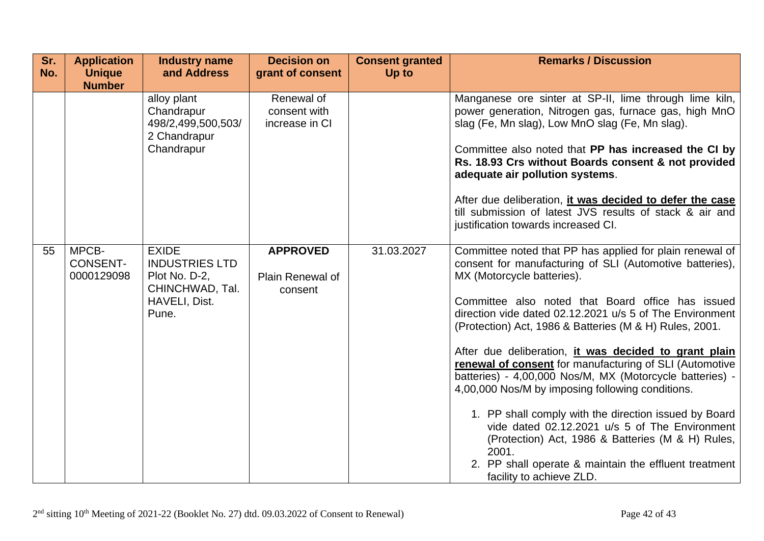| Sr.<br>No. | <b>Application</b><br><b>Unique</b><br><b>Number</b> | <b>Industry name</b><br>and Address                                                                 | <b>Decision on</b><br>grant of consent         | <b>Consent granted</b><br>Up to | <b>Remarks / Discussion</b>                                                                                                                                                                                                                                                                                                                                                                                                                                                                                                                                                                                                                                                                                                                                                                                                      |
|------------|------------------------------------------------------|-----------------------------------------------------------------------------------------------------|------------------------------------------------|---------------------------------|----------------------------------------------------------------------------------------------------------------------------------------------------------------------------------------------------------------------------------------------------------------------------------------------------------------------------------------------------------------------------------------------------------------------------------------------------------------------------------------------------------------------------------------------------------------------------------------------------------------------------------------------------------------------------------------------------------------------------------------------------------------------------------------------------------------------------------|
|            |                                                      | alloy plant<br>Chandrapur<br>498/2,499,500,503/<br>2 Chandrapur<br>Chandrapur                       | Renewal of<br>consent with<br>increase in CI   |                                 | Manganese ore sinter at SP-II, lime through lime kiln,<br>power generation, Nitrogen gas, furnace gas, high MnO<br>slag (Fe, Mn slag), Low MnO slag (Fe, Mn slag).<br>Committee also noted that PP has increased the CI by<br>Rs. 18.93 Crs without Boards consent & not provided<br>adequate air pollution systems.<br>After due deliberation, it was decided to defer the case<br>till submission of latest JVS results of stack & air and<br>justification towards increased CI.                                                                                                                                                                                                                                                                                                                                              |
| 55         | MPCB-<br><b>CONSENT-</b><br>0000129098               | <b>EXIDE</b><br><b>INDUSTRIES LTD</b><br>Plot No. D-2,<br>CHINCHWAD, Tal.<br>HAVELI, Dist.<br>Pune. | <b>APPROVED</b><br>Plain Renewal of<br>consent | 31.03.2027                      | Committee noted that PP has applied for plain renewal of<br>consent for manufacturing of SLI (Automotive batteries),<br>MX (Motorcycle batteries).<br>Committee also noted that Board office has issued<br>direction vide dated 02.12.2021 u/s 5 of The Environment<br>(Protection) Act, 1986 & Batteries (M & H) Rules, 2001.<br>After due deliberation, it was decided to grant plain<br>renewal of consent for manufacturing of SLI (Automotive<br>batteries) - 4,00,000 Nos/M, MX (Motorcycle batteries) -<br>4,00,000 Nos/M by imposing following conditions.<br>1. PP shall comply with the direction issued by Board<br>vide dated 02.12.2021 u/s 5 of The Environment<br>(Protection) Act, 1986 & Batteries (M & H) Rules,<br>2001.<br>2. PP shall operate & maintain the effluent treatment<br>facility to achieve ZLD. |